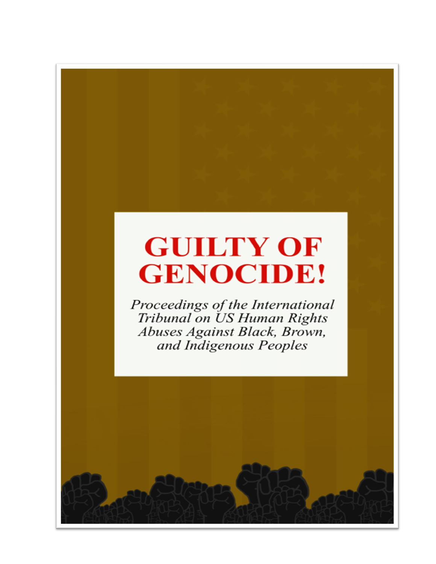## **GUILTY OF GENOCIDE!**

Proceedings of the International Tribunal on US Human Rights Abuses Against Black, Brown, and Indigenous Peoples

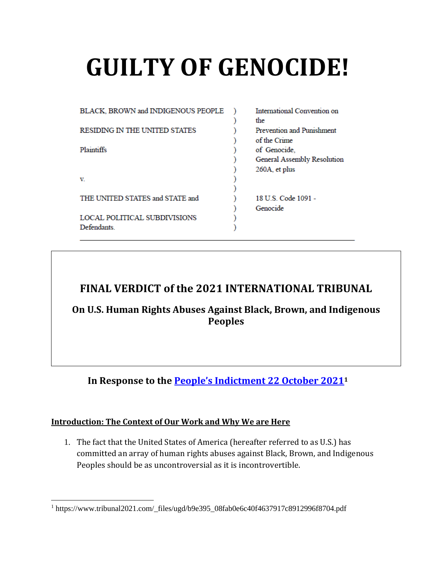# **GUILTY OF GENOCIDE!**

| BLACK, BROWN and INDIGENOUS PEOPLE   | International Convention on |
|--------------------------------------|-----------------------------|
|                                      | the                         |
| <b>RESIDING IN THE UNITED STATES</b> | Prevention and Punishment   |
|                                      | of the Crime                |
| Plaintiffs                           | of Genocide.                |
|                                      | General Assembly Resolution |
|                                      | 260A, et plus               |
| v                                    |                             |
|                                      |                             |
| THE UNITED STATES and STATE and      | 18 U.S. Code 1091 -         |
|                                      | Genocide                    |
| <b>LOCAL POLITICAL SUBDIVISIONS</b>  |                             |
| Defendants                           |                             |

#### **FINAL VERDICT of the 2021 INTERNATIONAL TRIBUNAL**

**On U.S. Human Rights Abuses Against Black, Brown, and Indigenous Peoples**

**In Response to the [People's Indictment](https://www.tribunal2021.com/_files/ugd/b9e395_08fab0e6c40f4637917c8912996f8704.pdf) 22 October 2021<sup>1</sup>**

#### **Introduction: The Context of Our Work and Why We are Here**

1. The fact that the United States of America (hereafter referred to as U.S.) has committed an array of human rights abuses against Black, Brown, and Indigenous Peoples should be as uncontroversial as it is incontrovertible.

<sup>1</sup> https://www.tribunal2021.com/\_files/ugd/b9e395\_08fab0e6c40f4637917c8912996f8704.pdf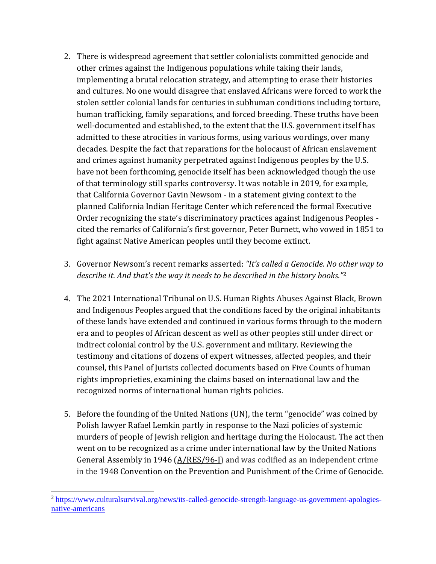- 2. There is widespread agreement that settler colonialists committed genocide and other crimes against the Indigenous populations while taking their lands, implementing a brutal relocation strategy, and attempting to erase their histories and cultures. No one would disagree that enslaved Africans were forced to work the stolen settler colonial lands for centuries in subhuman conditions including torture, human trafficking, family separations, and forced breeding. These truths have been well-documented and established, to the extent that the U.S. government itself has admitted to these atrocities in various forms, using various wordings, over many decades. Despite the fact that reparations for the holocaust of African enslavement and crimes against humanity perpetrated against Indigenous peoples by the U.S. have not been forthcoming, genocide itself has been acknowledged though the use of that terminology still sparks controversy. It was notable in 2019, for example, that California Governor Gavin Newsom - in a statement giving context to the planned California Indian Heritage Center which referenced the formal Executive Order recognizing the state's discriminatory practices against Indigenous Peoples cited the remarks of California's first governor, Peter Burnett, who vowed in 1851 to fight against Native American peoples until they become extinct.
- 3. Governor Newsom's recent remarks asserted: *"It's called a Genocide. No other way to describe it. And that's the way it needs to be described in the history books."*<sup>2</sup>
- 4. The 2021 International Tribunal on U.S. Human Rights Abuses Against Black, Brown and Indigenous Peoples argued that the conditions faced by the original inhabitants of these lands have extended and continued in various forms through to the modern era and to peoples of African descent as well as other peoples still under direct or indirect colonial control by the U.S. government and military. Reviewing the testimony and citations of dozens of expert witnesses, affected peoples, and their counsel, this Panel of Jurists collected documents based on Five Counts of human rights improprieties, examining the claims based on international law and the recognized norms of international human rights policies.
- 5. Before the founding of the United Nations (UN), the term "genocide" was coined by Polish lawyer Rafael Lemkin partly in response to the Nazi policies of systemic murders of people of Jewish religion and heritage during the Holocaust. The act then went on to be recognized as a crime under international law by the United Nations General Assembly in 1946  $(A/RES/96-I)$  and was codified as an independent crime in th[e](https://www.un.org/en/genocideprevention/documents/atrocity-crimes/Doc.1_Convention%20on%20the%20Prevention%20and%20Punishment%20of%20the%20Crime%20of%20Genocide.pdf) [1948 Convention on the Prevention and Punishment of the Crime of Genocide.](https://www.un.org/en/genocideprevention/documents/atrocity-crimes/Doc.1_Convention%20on%20the%20Prevention%20and%20Punishment%20of%20the%20Crime%20of%20Genocide.pdf)

<sup>2</sup> [https://www.culturalsurvival.org/news/its-called-genocide-strength-language-us-government-apologies](https://www.culturalsurvival.org/news/its-called-genocide-strength-language-us-government-apologies-native-americans)[native-americans](https://www.culturalsurvival.org/news/its-called-genocide-strength-language-us-government-apologies-native-americans)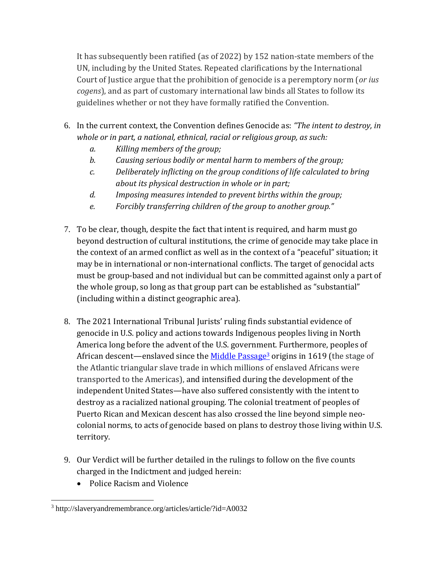It has subsequently been ratified (as of 2022) by 152 nation-state members of the UN, including by the United States. Repeated clarifications by the International Court of Justice argue that the prohibition of genocide is a peremptory norm (*or ius cogens*), and as part of customary international law binds all States to follow its guidelines whether or not they have formally ratified the Convention.

- 6. In the current context, the Convention defines Genocide as: *"The intent to destroy, in whole or in part, a national, ethnical, racial or religious group, as such:*
	- *a. Killing members of the group;*
	- *b. Causing serious bodily or mental harm to members of the group;*
	- *c. Deliberately inflicting on the group conditions of life calculated to bring about its physical destruction in whole or in part;*
	- *d. Imposing measures intended to prevent births within the group;*
	- *e. Forcibly transferring children of the group to another group."*
- 7. To be clear, though, despite the fact that intent is required, and harm must go beyond destruction of cultural institutions, the crime of genocide may take place in the context of an armed conflict as well as in the context of a "peaceful" situation; it may be in international or non-international conflicts. The target of genocidal acts must be group-based and not individual but can be committed against only a part of the whole group, so long as that group part can be established as "substantial" (including within a distinct geographic area).
- 8. The 2021 International Tribunal Jurists' ruling finds substantial evidence of genocide in U.S. policy and actions towards Indigenous peoples living in North America long before the advent of the U.S. government. Furthermore, peoples of African descent—enslaved since th[e Middle Passage](http://slaveryandremembrance.org/articles/article/?id=A0032)<sup>3</sup> origins in 1619 (the stage of the Atlantic triangular slave trade in which millions of enslaved Africans were transported to the Americas), and intensified during the development of the independent United States—have also suffered consistently with the intent to destroy as a racialized national grouping. The colonial treatment of peoples of Puerto Rican and Mexican descent has also crossed the line beyond simple neocolonial norms, to acts of genocide based on plans to destroy those living within U.S. territory.
- 9. Our Verdict will be further detailed in the rulings to follow on the five counts charged in the Indictment and judged herein:
	- Police Racism and Violence

<sup>3</sup> http://slaveryandremembrance.org/articles/article/?id=A0032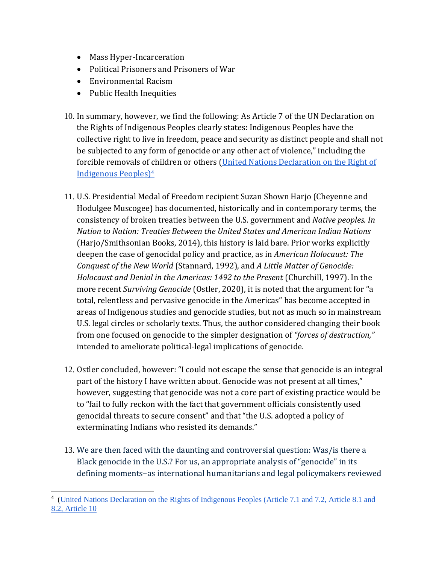- Mass Hyper-Incarceration
- Political Prisoners and Prisoners of War
- Environmental Racism
- Public Health Inequities
- 10. In summary, however, we find the following: As Article 7 of the UN Declaration on the Rights of Indigenous Peoples clearly states: Indigenous Peoples have the collective right to live in freedom, peace and security as distinct people and shall not be subjected to any form of genocide or any other act of violence," including the forcible removals of children or others (United Nations Declaration on the Right of Indigenous Peoples)<sup>4</sup>
- 11. U.S. Presidential Medal of Freedom recipient Suzan Shown Harjo (Cheyenne and Hodulgee Muscogee) has documented, historically and in contemporary terms, the consistency of broken treaties between the U.S. government and *Native peoples. In Nation to Nation: Treaties Between the United States and American Indian Nations* (Harjo/Smithsonian Books, 2014), this history is laid bare. Prior works explicitly deepen the case of genocidal policy and practice, as in *American Holocaust: The Conquest of the New World* (Stannard, 1992), and *A Little Matter of Genocide: Holocaust and Denial in the Americas: 1492 to the Present* (Churchill, 1997). In the more recent *Surviving Genocide* (Ostler, 2020), it is noted that the argument for "a total, relentless and pervasive genocide in the Americas" has become accepted in areas of Indigenous studies and genocide studies, but not as much so in mainstream U.S. legal circles or scholarly texts. Thus, the author considered changing their book from one focused on genocide to the simpler designation of *"forces of destruction,"* intended to ameliorate political-legal implications of genocide.
- 12. Ostler concluded, however: "I could not escape the sense that genocide is an integral part of the history I have written about. Genocide was not present at all times," however, suggesting that genocide was not a core part of existing practice would be to "fail to fully reckon with the fact that government officials consistently used genocidal threats to secure consent" and that "the U.S. adopted a policy of exterminating Indians who resisted its demands."
- 13. We are then faced with the daunting and controversial question: Was/is there a Black genocide in the U.S.? For us, an appropriate analysis of "genocide" in its defining moments–as international humanitarians and legal policymakers reviewed

<sup>&</sup>lt;sup>4</sup> (United Nations Declaration on the Rights of Indigenous Peoples (Article 7.1 and 7.2, Article 8.1 and [8.2, Article 10](https://undocs.org/A/RES/61/295)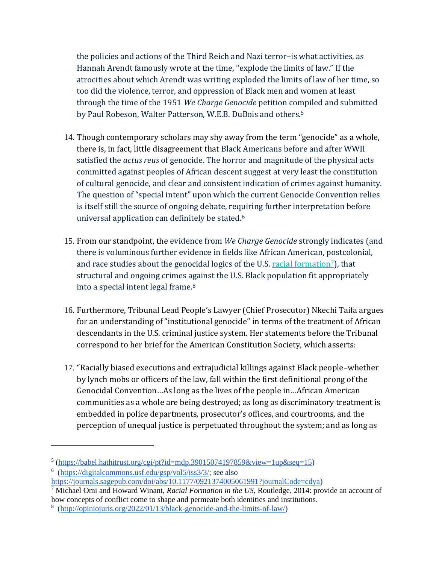the policies and actions of the Third Reich and Nazi terror–is what activities, as Hannah Arendt famously wrote at the time, "explode the limits of law." If the atrocities about which Arendt was writing exploded the limits of law of her time, so too did the violence, terror, and oppression of Black men and women at least through the time of the 1951 *We Charge Genocide* petition compiled and submitted by Paul Robeson, Walter Patterson, W.E.B. DuBois and others.<sup>5</sup>

- 14. Though contemporary scholars may shy away from the term "genocide" as a whole, there is, in fact, little disagreement that Black Americans before and after WWII satisfied the *actus reus* of genocide. The horror and magnitude of the physical acts committed against peoples of African descent suggest at very least the constitution of cultural genocide, and clear and consistent indication of crimes against humanity. The question of "special intent" upon which the current Genocide Convention relies is itself still the source of ongoing debate, requiring further interpretation before universal application can definitely be stated.<sup>6</sup>
- 15. From our standpoint, the evidence from *We Charge Genocide* strongly indicates (and there is voluminous further evidence in fields like African American, postcolonial, and race studies about the genocidal logics of the U.S. [racial formation](https://www.routledge.com/Racial-Formation-in-the-United-States/Omi-Winant/p/book/9780415520317)<sup>7</sup>), that structural and ongoing crimes against the U.S. Black population fit appropriately into a special intent legal frame.<sup>8</sup>
- 16. Furthermore, Tribunal Lead People's Lawyer (Chief Prosecutor) Nkechi Taifa argues for an understanding of "institutional genocide" in terms of the treatment of African descendants in the U.S. criminal justice system. Her statements before the Tribunal correspond to her brief for the American Constitution Society, which asserts:
- 17. "Racially biased executions and extrajudicial killings against Black people–whether by lynch mobs or officers of the law, fall within the first definitional prong of the Genocidal Convention…As long as the lives of the people in…African American communities as a whole are being destroyed; as long as discriminatory treatment is embedded in police departments, prosecutor's offices, and courtrooms, and the perception of unequal justice is perpetuated throughout the system; and as long as

<sup>&</sup>lt;sup>5</sup>[\(https://babel.hathitrust.org/cgi/pt?id=mdp.39015074197859&view=1up&seq=15\)](https://babel.hathitrust.org/cgi/pt?id=mdp.39015074197859&view=1up&seq=15)

<sup>&</sup>lt;sup>6</sup> [\(https://digitalcommons.usf.edu/gsp/vol5/iss3/3/;](https://digitalcommons.usf.edu/gsp/vol5/iss3/3/) see als[o](https://journals.sagepub.com/doi/abs/10.1177/0921374005061991?journalCode=cdya)

[https://journals.sagepub.com/doi/abs/10.1177/0921374005061991?journalCode=cdya\)](https://journals.sagepub.com/doi/abs/10.1177/0921374005061991?journalCode=cdya)

<sup>7</sup> Michael Omi and Howard Winant, *Racial Formation in the US*, Routledge, 2014: provide an account of how concepts of conflict come to shape and permeate both identities and institutions.

<sup>8</sup> [\(http://opiniojuris.org/2022/01/13/black-genocide-and-the-limits-of-law/\)](http://opiniojuris.org/2022/01/13/black-genocide-and-the-limits-of-law/)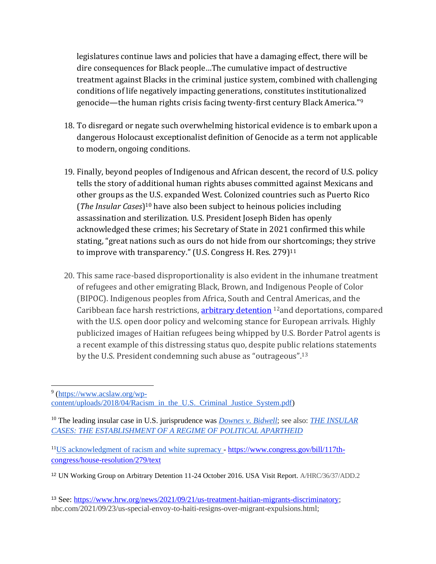legislatures continue laws and policies that have a damaging effect, there will be dire consequences for Black people…The cumulative impact of destructive treatment against Blacks in the criminal justice system, combined with challenging conditions of life negatively impacting generations, constitutes institutionalized genocide—the human rights crisis facing twenty-first century Black America."<sup>9</sup>

- 18. To disregard or negate such overwhelming historical evidence is to embark upon a dangerous Holocaust exceptionalist definition of Genocide as a term not applicable to modern, ongoing conditions.
- 19. Finally, beyond peoples of Indigenous and African descent, the record of U.S. policy tells the story of additional human rights abuses committed against Mexicans and other groups as the U.S. expanded West. Colonized countries such as Puerto Rico (*The Insular Cases*) <sup>10</sup> have also been subject to heinous policies including assassination and sterilization. U.S. President Joseph Biden has openly acknowledged these crimes; his Secretary of State in 2021 confirmed this while stating, "great nations such as ours do not hide from our shortcomings; they strive to improve with transparency." (U.S. Congress H. Res. 279)<sup>11</sup>
- 20. This same race-based disproportionality is also evident in the inhumane treatment of refugees and other emigrating Black, Brown, and Indigenous People of Color (BIPOC). Indigenous peoples from Africa, South and Central Americas, and the Caribbean face harsh restrictions[, arbitrary detention](https://undocs.org/Home/Mobile?FinalSymbol=A%2FHRC%2F36%2F37%2FAdd.2&Language=E&DeviceType=Desktop&LangRequested=False) <sup>12</sup>and deportations, compared with the U.S. open door policy and welcoming stance for European arrivals. Highly publicized images of Haitian refugees being whipped by U.S. Border Patrol agents is a recent example of this distressing status quo, despite public relations statements by the U.S. President condemning such abuse as "outrageous".<sup>13</sup>

<sup>&</sup>lt;sup>9</sup> [\(https://www.acslaw.org/wp](https://www.acslaw.org/wp-content/uploads/2018/04/Racism_in_the_U.S._Criminal_Justice_System.pdf)[content/uploads/2018/04/Racism\\_in\\_the\\_U.S.\\_Criminal\\_Justice\\_System.pdf\)](https://www.acslaw.org/wp-content/uploads/2018/04/Racism_in_the_U.S._Criminal_Justice_System.pdf)

<sup>10</sup> The leading insular case in U.S. jurisprudence wa[s](https://supreme.justia.com/cases/federal/us/182/244/) *[Downes v. Bidwell](https://supreme.justia.com/cases/federal/us/182/244/)*; see also: *[THE INSULAR](https://scholarship.law.upenn.edu/cgi/viewcontent.cgi?article=1162&context=jil)  [CASES: THE ESTABLISHMENT OF A REGIME OF POLITICAL APARTHEID](https://scholarship.law.upenn.edu/cgi/viewcontent.cgi?article=1162&context=jil)*

<sup>11</sup>US acknowledgment of racism and white supremacy - [https://www.congress.gov/bill/117th](https://www.congress.gov/bill/117th-congress/house-resolution/279/text)[congress/house-resolution/279/text](https://www.congress.gov/bill/117th-congress/house-resolution/279/text)

<sup>12</sup> UN Working Group on Arbitrary Detention 11-24 October 2016. USA Visit Report. A/HRC/36/37/ADD.2

<sup>13</sup> See: [https://www.hrw.org/news/2021/09/21/us-treatment-haitian-migrants-discriminatory;](https://www.hrw.org/news/2021/09/21/us-treatment-haitian-migrants-discriminatory) nbc.com/2021/09/23/us-special-envoy-to-haiti-resigns-over-migrant-expulsions.html;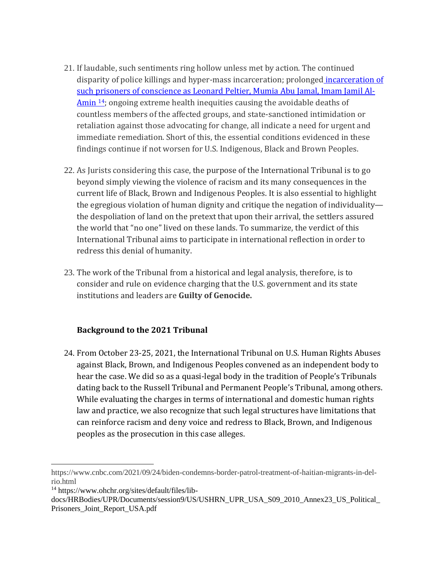- 21. If laudable, such sentiments ring hollow unless met by action. The continued disparity of police killings and hyper-mass incarceration; prolonged [incarceration of](https://www.ohchr.org/sites/default/files/lib-docs/HRBodies/UPR/Documents/session9/US/USHRN_UPR_USA_S09_2010_Annex23_US_Political_Prisoners_Joint_Report_USA.pdf)  [such prisoners of conscience as Leonard Peltier, Mumia Abu Jamal, Imam Jamil Al-](https://www.ohchr.org/sites/default/files/lib-docs/HRBodies/UPR/Documents/session9/US/USHRN_UPR_USA_S09_2010_Annex23_US_Political_Prisoners_Joint_Report_USA.pdf)[Amin](https://www.ohchr.org/sites/default/files/lib-docs/HRBodies/UPR/Documents/session9/US/USHRN_UPR_USA_S09_2010_Annex23_US_Political_Prisoners_Joint_Report_USA.pdf) <sup>14</sup>; ongoing extreme health inequities causing the avoidable deaths of countless members of the affected groups, and state-sanctioned intimidation or retaliation against those advocating for change, all indicate a need for urgent and immediate remediation. Short of this, the essential conditions evidenced in these findings continue if not worsen for U.S. Indigenous, Black and Brown Peoples.
- 22. As Jurists considering this case, the purpose of the International Tribunal is to go beyond simply viewing the violence of racism and its many consequences in the current life of Black, Brown and Indigenous Peoples. It is also essential to highlight the egregious violation of human dignity and critique the negation of individuality the despoliation of land on the pretext that upon their arrival, the settlers assured the world that "no one" lived on these lands. To summarize, the verdict of this International Tribunal aims to participate in international reflection in order to redress this denial of humanity.
- 23. The work of the Tribunal from a historical and legal analysis, therefore, is to consider and rule on evidence charging that the U.S. government and its state institutions and leaders are **Guilty of Genocide.**

#### **Background to the 2021 Tribunal**

24. From October 23-25, 2021, the International Tribunal on U.S. Human Rights Abuses against Black, Brown, and Indigenous Peoples convened as an independent body to hear the case. We did so as a quasi-legal body in the tradition of People's Tribunals dating back to the Russell Tribunal and Permanent People's Tribunal, among others. While evaluating the charges in terms of international and domestic human rights law and practice, we also recognize that such legal structures have limitations that can reinforce racism and deny voice and redress to Black, Brown, and Indigenous peoples as the prosecution in this case alleges.

https://www.cnbc.com/2021/09/24/biden-condemns-border-patrol-treatment-of-haitian-migrants-in-delrio.html

<sup>14</sup> https://www.ohchr.org/sites/default/files/lib-

docs/HRBodies/UPR/Documents/session9/US/USHRN\_UPR\_USA\_S09\_2010\_Annex23\_US\_Political\_ Prisoners\_Joint\_Report\_USA.pdf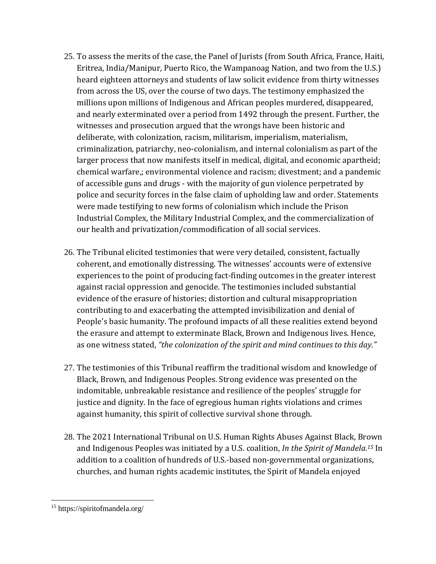- 25. To assess the merits of the case, the Panel of Jurists (from South Africa, France, Haiti, Eritrea, India/Manipur, Puerto Rico, the Wampanoag Nation, and two from the U.S.) heard eighteen attorneys and students of law solicit evidence from thirty witnesses from across the US, over the course of two days. The testimony emphasized the millions upon millions of Indigenous and African peoples murdered, disappeared, and nearly exterminated over a period from 1492 through the present. Further, the witnesses and prosecution argued that the wrongs have been historic and deliberate, with colonization, racism, militarism, imperialism, materialism, criminalization, patriarchy, neo-colonialism, and internal colonialism as part of the larger process that now manifests itself in medical, digital, and economic apartheid; chemical warfare,; environmental violence and racism; divestment; and a pandemic of accessible guns and drugs - with the majority of gun violence perpetrated by police and security forces in the false claim of upholding law and order. Statements were made testifying to new forms of colonialism which include the Prison Industrial Complex, the Military Industrial Complex, and the commercialization of our health and privatization/commodification of all social services.
- 26. The Tribunal elicited testimonies that were very detailed, consistent, factually coherent, and emotionally distressing. The witnesses' accounts were of extensive experiences to the point of producing fact-finding outcomes in the greater interest against racial oppression and genocide. The testimonies included substantial evidence of the erasure of histories; distortion and cultural misappropriation contributing to and exacerbating the attempted invisibilization and denial of People's basic humanity. The profound impacts of all these realities extend beyond the erasure and attempt to exterminate Black, Brown and Indigenous lives. Hence, as one witness stated, *"the colonization of the spirit and mind continues to this day."*
- 27. The testimonies of this Tribunal reaffirm the traditional wisdom and knowledge of Black, Brown, and Indigenous Peoples. Strong evidence was presented on the indomitable, unbreakable resistance and resilience of the peoples' struggle for justice and dignity. In the face of egregious human rights violations and crimes against humanity, this spirit of collective survival shone through.
- 28. The 2021 International Tribunal on U.S. Human Rights Abuses Against Black, Brown and Indigenous Peoples was initiated by a U.S. coalition, *In the Spirit of Mandela.<sup>15</sup>* In addition to a coalition of hundreds of U.S.-based non-governmental organizations, churches, and human rights academic institutes, the Spirit of Mandela enjoyed

<sup>15</sup> https://spiritofmandela.org/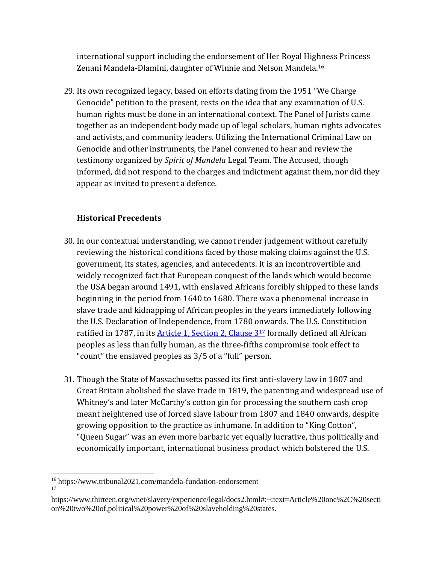international support including the endorsement of Her Royal Highness Princess Zenani Mandela-Dlamini, daughter of Winnie and Nelson Mandela.<sup>16</sup>

29. Its own recognized legacy, based on efforts dating from the 1951 "We Charge Genocide" petition to the present, rests on the idea that any examination of U.S. human rights must be done in an international context. The Panel of Jurists came together as an independent body made up of legal scholars, human rights advocates and activists, and community leaders. Utilizing the International Criminal Law on Genocide and other instruments, the Panel convened to hear and review the testimony organized by *Spirit of Mandela* Legal Team. The Accused, though informed, did not respond to the charges and indictment against them, nor did they appear as invited to present a defence.

#### **Historical Precedents**

- 30. In our contextual understanding, we cannot render judgement without carefully reviewing the historical conditions faced by those making claims against the U.S. government, its states, agencies, and antecedents. It is an incontrovertible and widely recognized fact that European conquest of the lands which would become the USA began around 1491, with enslaved Africans forcibly shipped to these lands beginning in the period from 1640 to 1680. There was a phenomenal increase in slave trade and kidnapping of African peoples in the years immediately following the U.S. Declaration of Independence, from 1780 onwards. The U.S. Constitution ratified in 1787, in its [Article 1, Section](https://www.thirteen.org/wnet/slavery/experience/legal/docs2.html#:~:text=Article%20one%2C%20section%20two%20of,political%20power%20of%20slaveholding%20states.) 2, Clause 3<sup>17</sup> formally defined all African peoples as less than fully human, as the three-fifths compromise took effect to "count" the enslaved peoples as 3/5 of a "full" person.
- 31. Though the State of Massachusetts passed its first anti-slavery law in 1807 and Great Britain abolished the slave trade in 1819, the patenting and widespread use of Whitney's and later McCarthy's cotton gin for processing the southern cash crop meant heightened use of forced slave labour from 1807 and 1840 onwards, despite growing opposition to the practice as inhumane. In addition to "King Cotton", "Queen Sugar" was an even more barbaric yet equally lucrative, thus politically and economically important, international business product which bolstered the U.S.

<sup>16</sup> https://www.tribunal2021.com/mandela-fundation-endorsement 17

https://www.thirteen.org/wnet/slavery/experience/legal/docs2.html#:~:text=Article%20one%2C%20secti on%20two%20of,political%20power%20of%20slaveholding%20states.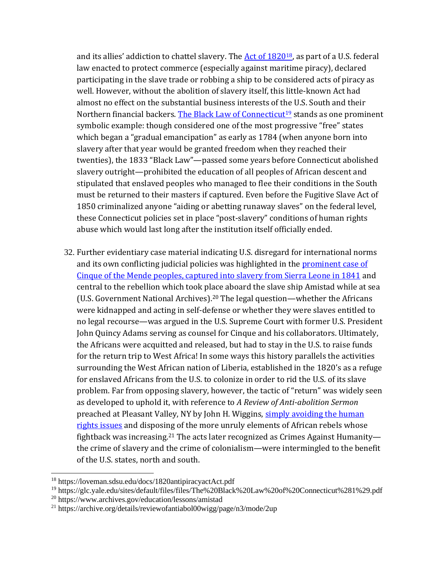and its allies' addiction to chattel slavery. The Act of  $1820^{18}$ , as part of a U.S. federal law enacted to protect commerce (especially against maritime piracy), declared participating in the slave trade or robbing a ship to be considered acts of piracy as well. However, without the abolition of slavery itself, this little-known Act had almost no effect on the substantial business interests of the U.S. South and their Northern financial backers. [The Black Law of Connecticut](https://glc.yale.edu/sites/default/files/files/The%20Black%20Law%20of%20Connecticut%281%29.pdf)<sup>19</sup> stands as one prominent symbolic example: though considered one of the most progressive "free" states which began a "gradual emancipation" as early as 1784 (when anyone born into slavery after that year would be granted freedom when they reached their twenties), the 1833 "Black Law"—passed some years before Connecticut abolished slavery outright—prohibited the education of all peoples of African descent and stipulated that enslaved peoples who managed to flee their conditions in the South must be returned to their masters if captured. Even before the Fugitive Slave Act of 1850 criminalized anyone "aiding or abetting runaway slaves" on the federal level, these Connecticut policies set in place "post-slavery" conditions of human rights abuse which would last long after the institution itself officially ended.

32. Further evidentiary case material indicating U.S. disregard for international norms and its own conflicting judicial policies was highlighted in the prominent case of [Cinque of the Mende peoples, captured into slavery from Sierra Leone in 1841](https://www.archives.gov/education/lessons/amistad) and central to the rebellion which took place aboard the slave ship Amistad while at sea (U.S. Government National Archives). <sup>20</sup> The legal question—whether the Africans were kidnapped and acting in self-defense or whether they were slaves entitled to no legal recourse—was argued in the U.S. Supreme Court with former U.S. President John Quincy Adams serving as counsel for Cinque and his collaborators. Ultimately, the Africans were acquitted and released, but had to stay in the U.S. to raise funds for the return trip to West Africa! In some ways this history parallels the activities surrounding the West African nation of Liberia, established in the 1820's as a refuge for enslaved Africans from the U.S. to colonize in order to rid the U.S. of its slave problem. Far from opposing slavery, however, the tactic of "return" was widely seen as developed to uphold it, with reference to *A Review of Anti-abolition Sermon* preached at Pleasant Valley, NY by John H. Wiggins, simply avoiding the human [rights issues](https://archive.org/details/reviewofantiabol00wigg/page/n3/mode/2up) and disposing of the more unruly elements of African rebels whose fightback was increasing.<sup>21</sup> The acts later recognized as Crimes Against Humanity the crime of slavery and the crime of colonialism—were intermingled to the benefit of the U.S. states, north and south.

<sup>18</sup> https://loveman.sdsu.edu/docs/1820antipiracyactAct.pdf

<sup>19</sup> https://glc.yale.edu/sites/default/files/files/The%20Black%20Law%20of%20Connecticut%281%29.pdf

<sup>20</sup> https://www.archives.gov/education/lessons/amistad

<sup>21</sup> https://archive.org/details/reviewofantiabol00wigg/page/n3/mode/2up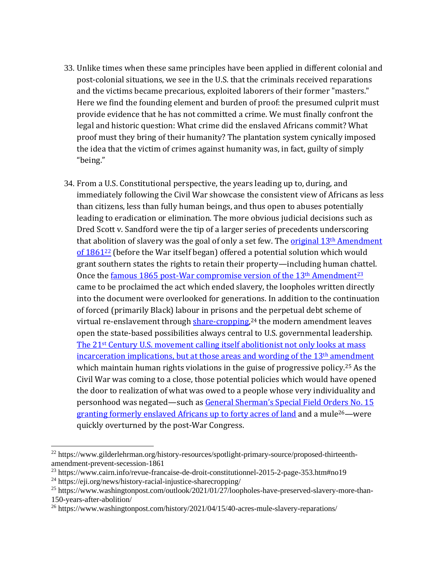- 33. Unlike times when these same principles have been applied in different colonial and post-colonial situations, we see in the U.S. that the criminals received reparations and the victims became precarious, exploited laborers of their former "masters." Here we find the founding element and burden of proof: the presumed culprit must provide evidence that he has not committed a crime. We must finally confront the legal and historic question: What crime did the enslaved Africans commit? What proof must they bring of their humanity? The plantation system cynically imposed the idea that the victim of crimes against humanity was, in fact, guilty of simply "being."
- 34. From a U.S. Constitutional perspective, the years leading up to, during, and immediately following the Civil War showcase the consistent view of Africans as less than citizens, less than fully human beings, and thus open to abuses potentially leading to eradication or elimination. The more obvious judicial decisions such as Dred Scott v. Sandford were the tip of a larger series of precedents underscoring that abolition of slavery was the goal of only a set few. The *original* 13<sup>th</sup> Amendment [of 1861](https://www.gilderlehrman.org/history-resources/spotlight-primary-source/proposed-thirteenth-amendment-prevent-secession-1861)<sup>22</sup> (before the War itself began) offered a potential solution which would grant southern states the rights to retain their property—including human chattel. Once the [famous 1865 post-War compromise version of the 13](https://www.cairn.info/revue-francaise-de-droit-constitutionnel-2015-2-page-353.htm#no19)<sup>th</sup> Amendment<sup>23</sup> came to be proclaimed the act which ended slavery, the loopholes written directly into the document were overlooked for generations. In addition to the continuation of forced (primarily Black) labour in prisons and the perpetual debt scheme of virtual re-enslavement through **share-cropping**,<sup>24</sup> the modern amendment leaves open the state-based possibilities always central to U.S. governmental leadership. The 21st Century [U.S. movement calling itself abolitionist not only looks at mass](https://www.washingtonpost.com/outlook/2021/01/27/loopholes-have-preserved-slavery-more-than-150-years-after-abolition/)  [incarceration implications, but at those areas and wording of the 13](https://www.washingtonpost.com/outlook/2021/01/27/loopholes-have-preserved-slavery-more-than-150-years-after-abolition/)<sup>th</sup> amendment which maintain human rights violations in the guise of progressive policy.<sup>25</sup> As the Civil War was coming to a close, those potential policies which would have opened the door to realization of what was owed to a people whose very individuality and personhood was negated—such as [General Sherman's Special Field Orders](https://www.washingtonpost.com/history/2021/04/15/40-acres-mule-slavery-reparations/) No. 15 [granting formerly enslaved Africans up to forty acres of land](https://www.washingtonpost.com/history/2021/04/15/40-acres-mule-slavery-reparations/) and a mule<sup>26</sup>—were quickly overturned by the post-War Congress.

<sup>22</sup> https://www.gilderlehrman.org/history-resources/spotlight-primary-source/proposed-thirteenthamendment-prevent-secession-1861

<sup>23</sup> https://www.cairn.info/revue-francaise-de-droit-constitutionnel-2015-2-page-353.htm#no19

<sup>24</sup> https://eji.org/news/history-racial-injustice-sharecropping/

<sup>&</sup>lt;sup>25</sup> https://www.washingtonpost.com/outlook/2021/01/27/loopholes-have-preserved-slavery-more-than-150-years-after-abolition/

<sup>&</sup>lt;sup>26</sup> https://www.washingtonpost.com/history/2021/04/15/40-acres-mule-slavery-reparations/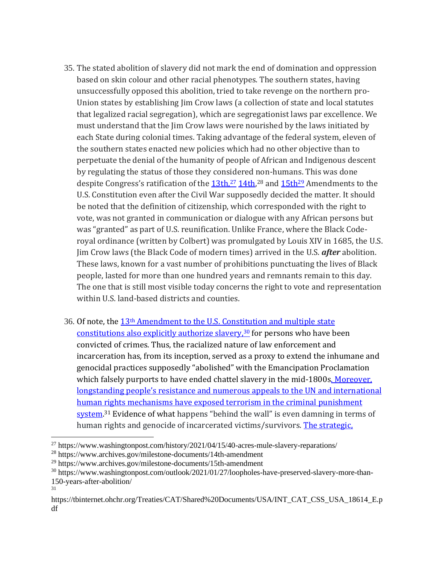- 35. The stated abolition of slavery did not mark the end of domination and oppression based on skin colour and other racial phenotypes. The southern states, having unsuccessfully opposed this abolition, tried to take revenge on the northern pro-Union states by establishing Jim Crow laws (a collection of state and local statutes that legalized racial segregation), which are segregationist laws par excellence. We must understand that the Jim Crow laws were nourished by the laws initiated by each State during colonial times. Taking advantage of the federal system, eleven of the southern states enacted new policies which had no other objective than to perpetuate the denial of the humanity of people of African and Indigenous descent by regulating the status of those they considered non-humans. This was done despite Congress's ratification of the  $13th,^{27}$   $14th,^{28}$  $14th,^{28}$  and  $15th^{29}$  Amendments to the U.S. Constitution even after the Civil War supposedly decided the matter. It should be noted that the definition of citizenship, which corresponded with the right to vote, was not granted in communication or dialogue with any African persons but was "granted" as part of U.S. reunification. Unlike France, where the Black Coderoyal ordinance (written by Colbert) was promulgated by Louis XIV in 1685, the U.S. Jim Crow laws (the Black Code of modern times) arrived in the U.S. *after* abolition. These laws, known for a vast number of prohibitions punctuating the lives of Black people, lasted for more than one hundred years and remnants remain to this day. The one that is still most visible today concerns the right to vote and representation within U.S. land-based districts and counties.
- 36. Of note, the 13th Amendment to the [U.S. Constitution and multiple state](https://www.washingtonpost.com/outlook/2021/01/27/loopholes-have-preserved-slavery-more-than-150-years-after-abolition/)  [constitutions also explicitly authorize slavery,](https://www.washingtonpost.com/outlook/2021/01/27/loopholes-have-preserved-slavery-more-than-150-years-after-abolition/)<sup>30</sup> for persons who have been convicted of crimes. Thus, the racialized nature of law enforcement and incarceration has, from its inception, served as a proxy to extend the inhumane and genocidal practices supposedly "abolished" with the Emancipation Proclamation which falsely purports to have ended chattel slavery in the mid-1800s. Moreover, l[ongstanding people's resistance and numerous appeals to the UN and intern](https://tbinternet.ohchr.org/Treaties/CAT/Shared%20Documents/USA/INT_CAT_CSS_USA_18614_E.pdf)ational [human rights mechanisms have exposed terrorism in the criminal punishment](https://tbinternet.ohchr.org/Treaties/CAT/Shared%20Documents/USA/INT_CAT_CSS_USA_18614_E.pdf)  [system.](https://tbinternet.ohchr.org/Treaties/CAT/Shared%20Documents/USA/INT_CAT_CSS_USA_18614_E.pdf)<sup>31</sup> Evidence of what happens "behind the wall" is even damning in terms of human rights and genocide of incarcerated victims/survivors. The strategic,

31

<sup>&</sup>lt;sup>27</sup> https://www.washingtonpost.com/history/2021/04/15/40-acres-mule-slavery-reparations/

<sup>28</sup> https://www.archives.gov/milestone-documents/14th-amendment

<sup>29</sup> https://www.archives.gov/milestone-documents/15th-amendment

<sup>&</sup>lt;sup>30</sup> https://www.washingtonpost.com/outlook/2021/01/27/loopholes-have-preserved-slavery-more-than-150-years-after-abolition/

https://tbinternet.ohchr.org/Treaties/CAT/Shared%20Documents/USA/INT\_CAT\_CSS\_USA\_18614\_E.p df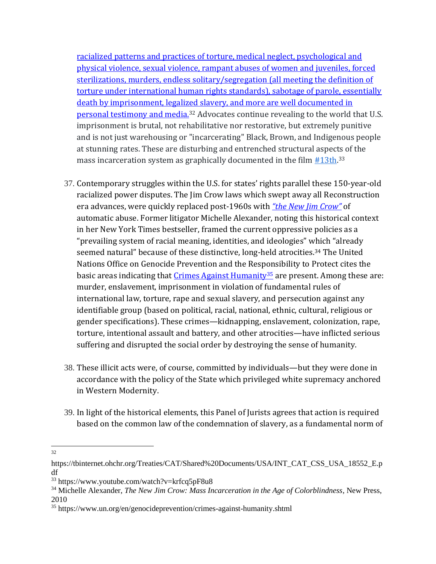[racialized patterns and practices of torture, medical neglect, psychological and](https://tbinternet.ohchr.org/Treaties/CAT/Shared%20Documents/USA/INT_CAT_CSS_USA_18552_E.pdf)  [physical violence, sexual violence, rampant abuses of women and juveniles, forced](https://tbinternet.ohchr.org/Treaties/CAT/Shared%20Documents/USA/INT_CAT_CSS_USA_18552_E.pdf)  [sterilizations, murders, endless solitary/segregation \(all meeting the definition of](https://tbinternet.ohchr.org/Treaties/CAT/Shared%20Documents/USA/INT_CAT_CSS_USA_18552_E.pdf)  [torture under international human rights standards\), sabotage of parole, essentially](https://tbinternet.ohchr.org/Treaties/CAT/Shared%20Documents/USA/INT_CAT_CSS_USA_18552_E.pdf)  [death by imprisonment, legalized slavery, and more are well documented in](https://tbinternet.ohchr.org/Treaties/CAT/Shared%20Documents/USA/INT_CAT_CSS_USA_18552_E.pdf)  [personal testimony and media.](https://tbinternet.ohchr.org/Treaties/CAT/Shared%20Documents/USA/INT_CAT_CSS_USA_18552_E.pdf)<sup>32</sup> Advocates continue revealing to the world that U.S. imprisonment is brutal, not rehabilitative nor restorative, but extremely punitive and is not just warehousing or "incarcerating" Black, Brown, and Indigenous people at stunning rates. These are disturbing and entrenched structural aspects of the mass incarceration system as graphically documented in the film  $\#13th$ <sup>33</sup>

- 37. Contemporary struggles within the U.S. for states' rights parallel these 150-year-old racialized power disputes. The Jim Crow laws which swept away all Reconstruction era advances, were quickly replaced post-1960s with *["the New Jim Crow"](https://newjimcrow.com/about/excerpt-from-the-introduction)* of automatic abuse. Former litigator Michelle Alexander, noting this historical context in her New York Times bestseller, framed the current oppressive policies as a "prevailing system of racial meaning, identities, and ideologies" which "already seemed natural" because of these distinctive, long-held atrocities.<sup>34</sup> The United Nations Office on Genocide Prevention and the Responsibility to Protect cites the basic areas indicating that [Crimes Against Humanity](https://www.un.org/en/genocideprevention/crimes-against-humanity.shtml)<sup>35</sup> are present. Among these are: murder, enslavement, imprisonment in violation of fundamental rules of international law, torture, rape and sexual slavery, and persecution against any identifiable group (based on political, racial, national, ethnic, cultural, religious or gender specifications). These crimes—kidnapping, enslavement, colonization, rape, torture, intentional assault and battery, and other atrocities—have inflicted serious suffering and disrupted the social order by destroying the sense of humanity.
- 38. These illicit acts were, of course, committed by individuals—but they were done in accordance with the policy of the State which privileged white supremacy anchored in Western Modernity.
- 39. In light of the historical elements, this Panel of Jurists agrees that action is required based on the common law of the condemnation of slavery, as a fundamental norm of

<sup>32</sup> 

https://tbinternet.ohchr.org/Treaties/CAT/Shared%20Documents/USA/INT\_CAT\_CSS\_USA\_18552\_E.p df

<sup>33</sup> https://www.youtube.com/watch?v=krfcq5pF8u8

<sup>34</sup> Michelle Alexander, *The New Jim Crow: Mass Incarceration in the Age of Colorblindness*, New Press, 2010

<sup>35</sup> https://www.un.org/en/genocideprevention/crimes-against-humanity.shtml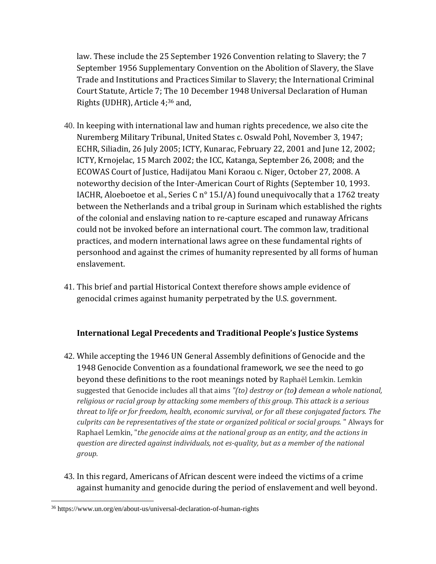law. These include the 25 September 1926 Convention relating to Slavery; the 7 September 1956 Supplementary Convention on the Abolition of Slavery, the Slave Trade and Institutions and Practices Similar to Slavery; the International Criminal Court Statute, Article 7; The 10 December 1948 Universal Declaration of Human Rights (UDHR), Article 4; <sup>36</sup> and,

- 40. In keeping with international law and human rights precedence, we also cite the Nuremberg Military Tribunal, United States c. Oswald Pohl, November 3, 1947; ECHR, Siliadin, 26 July 2005; ICTY, Kunarac, February 22, 2001 and June 12, 2002; ICTY, Krnojelac, 15 March 2002; the ICC, Katanga, September 26, 2008; and the ECOWAS Court of Justice, Hadijatou Mani Koraou c. Niger, October 27, 2008. A noteworthy decision of the Inter-American Court of Rights (September 10, 1993. IACHR, Aloeboetoe et al., Series C n° 15.I/A) found unequivocally that a 1762 treaty between the Netherlands and a tribal group in Surinam which established the rights of the colonial and enslaving nation to re-capture escaped and runaway Africans could not be invoked before an international court. The common law, traditional practices, and modern international laws agree on these fundamental rights of personhood and against the crimes of humanity represented by all forms of human enslavement.
- 41. This brief and partial Historical Context therefore shows ample evidence of genocidal crimes against humanity perpetrated by the U.S. government.

#### **International Legal Precedents and Traditional People's Justice Systems**

- 42. While accepting the 1946 UN General Assembly definitions of Genocide and the 1948 Genocide Convention as a foundational framework, we see the need to go beyond these definitions to the root meanings noted by Raphaël Lemkin. Lemkin suggested that Genocide includes all that aims *"(to) destroy or (to) demean a whole national, religious or racial group by attacking some members of this group. This attack is a serious threat to life or for freedom, health, economic survival, or for all these conjugated factors. The culprits can be representatives of the state or organized political or social groups.* " Always for Raphael Lemkin, "*the genocide aims at the national group as an entity, and the actions in question are directed against individuals, not es-quality, but as a member of the national group.*
- 43. In this regard, Americans of African descent were indeed the victims of a crime against humanity and genocide during the period of enslavement and well beyond.

<sup>36</sup> https://www.un.org/en/about-us/universal-declaration-of-human-rights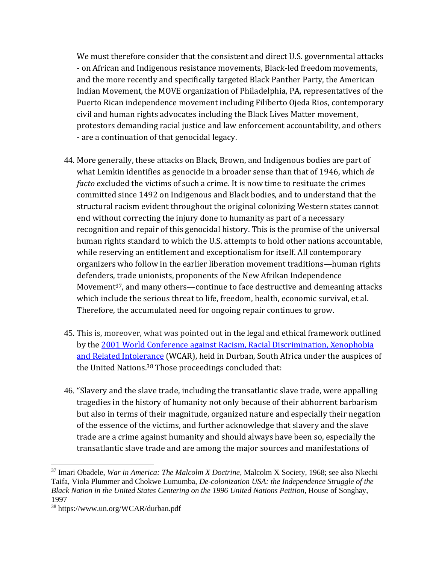We must therefore consider that the consistent and direct U.S. governmental attacks - on African and Indigenous resistance movements, Black-led freedom movements, and the more recently and specifically targeted Black Panther Party, the American Indian Movement, the MOVE organization of Philadelphia, PA, representatives of the Puerto Rican independence movement including Filiberto Ojeda Rios, contemporary civil and human rights advocates including the Black Lives Matter movement, protestors demanding racial justice and law enforcement accountability, and others - are a continuation of that genocidal legacy.

- 44. More generally, these attacks on Black, Brown, and Indigenous bodies are part of what Lemkin identifies as genocide in a broader sense than that of 1946, which *de facto* excluded the victims of such a crime. It is now time to resituate the crimes committed since 1492 on Indigenous and Black bodies, and to understand that the structural racism evident throughout the original colonizing Western states cannot end without correcting the injury done to humanity as part of a necessary recognition and repair of this genocidal history. This is the promise of the universal human rights standard to which the U.S. attempts to hold other nations accountable, while reserving an entitlement and exceptionalism for itself. All contemporary organizers who follow in the earlier liberation movement traditions—human rights defenders, trade unionists, proponents of the New Afrikan Independence Movement<sup>37</sup>, and many others—continue to face destructive and demeaning attacks which include the serious threat to life, freedom, health, economic survival, et al. Therefore, the accumulated need for ongoing repair continues to grow.
- 45. This is, moreover, what was pointed out in the legal and ethical framework outlined by the [2001 World Conference against Racism, Racial Discrimination, Xenophobia](https://www.un.org/WCAR/durban.pdf)  [and Related Intolerance](https://www.un.org/WCAR/durban.pdf) (WCAR), held in Durban, South Africa under the auspices of the United Nations. <sup>38</sup> Those proceedings concluded that:
- 46. "Slavery and the slave trade, including the transatlantic slave trade, were appalling tragedies in the history of humanity not only because of their abhorrent barbarism but also in terms of their magnitude, organized nature and especially their negation of the essence of the victims, and further acknowledge that slavery and the slave trade are a crime against humanity and should always have been so, especially the transatlantic slave trade and are among the major sources and manifestations of

<sup>37</sup> Imari Obadele, *War in America: The Malcolm X Doctrine*, Malcolm X Society, 1968; see also Nkechi Taifa, Viola Plummer and Chokwe Lumumba, *De-colonization USA: the Independence Struggle of the Black Nation in the United States Centering on the 1996 United Nations Petition*, House of Songhay, 1997

<sup>38</sup> https://www.un.org/WCAR/durban.pdf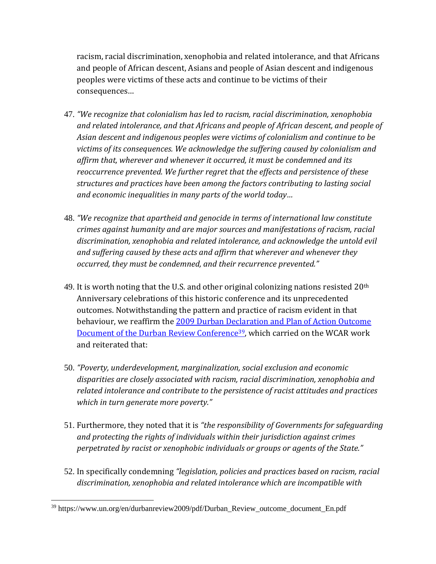racism, racial discrimination, xenophobia and related intolerance, and that Africans and people of African descent, Asians and people of Asian descent and indigenous peoples were victims of these acts and continue to be victims of their consequences…

- 47. *"We recognize that colonialism has led to racism, racial discrimination, xenophobia and related intolerance, and that Africans and people of African descent, and people of Asian descent and indigenous peoples were victims of colonialism and continue to be victims of its consequences. We acknowledge the suffering caused by colonialism and affirm that, wherever and whenever it occurred, it must be condemned and its reoccurrence prevented. We further regret that the effects and persistence of these structures and practices have been among the factors contributing to lasting social and economic inequalities in many parts of the world today…*
- 48. *"We recognize that apartheid and genocide in terms of international law constitute crimes against humanity and are major sources and manifestations of racism, racial discrimination, xenophobia and related intolerance, and acknowledge the untold evil and suffering caused by these acts and affirm that wherever and whenever they occurred, they must be condemned, and their recurrence prevented."*
- 49. It is worth noting that the U.S. and other original colonizing nations resisted  $20<sup>th</sup>$ Anniversary celebrations of this historic conference and its unprecedented outcomes. Notwithstanding the pattern and practice of racism evident in that behaviour, we reaffirm the [2009 Durban Declaration and Plan of Action Outcome](https://www.un.org/en/durbanreview2009/pdf/Durban_Review_outcome_document_En.pdf)  [Document of the Durban Review Conference](https://www.un.org/en/durbanreview2009/pdf/Durban_Review_outcome_document_En.pdf)<sup>39</sup>, which carried on the WCAR work and reiterated that:
- 50. *"Poverty, underdevelopment, marginalization, social exclusion and economic disparities are closely associated with racism, racial discrimination, xenophobia and related intolerance and contribute to the persistence of racist attitudes and practices which in turn generate more poverty."*
- 51. Furthermore, they noted that it is *"the responsibility of Governments for safeguarding and protecting the rights of individuals within their jurisdiction against crimes perpetrated by racist or xenophobic individuals or groups or agents of the State."*
- 52. In specifically condemning *"legislation, policies and practices based on racism, racial discrimination, xenophobia and related intolerance which are incompatible with*

<sup>39</sup> https://www.un.org/en/durbanreview2009/pdf/Durban\_Review\_outcome\_document\_En.pdf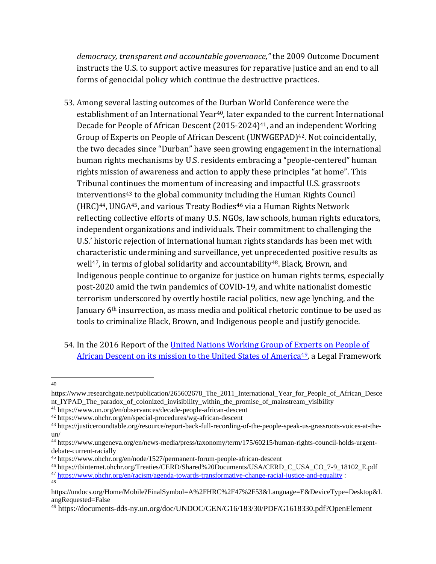*democracy, transparent and accountable governance,"* the 2009 Outcome Document instructs the U.S. to support active measures for reparative justice and an end to all forms of genocidal policy which continue the destructive practices.

- 53. Among several lasting outcomes of the Durban World Conference were the establishment of an International Year<sup>40</sup>, later expanded to the current International Decade for People of African Descent (2015-2024) <sup>41</sup>, and an independent Working Group of Experts on People of African Descent (UNWGEPAD)<sup>42</sup>. Not coincidentally, the two decades since "Durban" have seen growing engagement in the international human rights mechanisms by U.S. residents embracing a "people-centered" human rights mission of awareness and action to apply these principles "at home". This Tribunal continues the momentum of increasing and impactful U.S. grassroots interventions<sup>43</sup> to the global community including the Human Rights Council  $(HRC)^{44}$ , UNGA<sup>45</sup>, and various Treaty Bodies<sup>46</sup> via a Human Rights Network reflecting collective efforts of many U.S. NGOs, law schools, human rights educators, independent organizations and individuals. Their commitment to challenging the U.S.' historic rejection of international human rights standards has been met with characteristic undermining and surveillance, yet unprecedented positive results as well<sup>47</sup>, in terms of global solidarity and accountability<sup>48</sup>. Black, Brown, and Indigenous people continue to organize for justice on human rights terms, especially post-2020 amid the twin pandemics of COVID-19, and white nationalist domestic terrorism underscored by overtly hostile racial politics, new age lynching, and the January 6<sup>th</sup> insurrection, as mass media and political rhetoric continue to be used as tools to criminalize Black, Brown, and Indigenous people and justify genocide.
- 54. In the 2016 Report of the United Nations Working Group of Experts on People of [African Descent on its mission to the United States of America](https://documents-dds-ny.un.org/doc/UNDOC/GEN/G16/183/30/PDF/G1618330.pdf?OpenElement)<sup>49</sup>, a Legal Framework
- 40

https://www.researchgate.net/publication/265602678 The 2011 International Year for People of African Desce nt IYPAD The paradox of colonized invisibility within the promise of mainstream visibility

<sup>41</sup> https://www.un.org/en/observances/decade-people-african-descent

<sup>42</sup> https://www.ohchr.org/en/special-procedures/wg-african-descent

<sup>43</sup> https://justiceroundtable.org/resource/report-back-full-recording-of-the-people-speak-us-grassroots-voices-at-theun/

<sup>44</sup> https://www.ungeneva.org/en/news-media/press/taxonomy/term/175/60215/human-rights-council-holds-urgentdebate-current-racially

<sup>45</sup> https://www.ohchr.org/en/node/1527/permanent-forum-people-african-descent

<sup>46</sup> https://tbinternet.ohchr.org/Treaties/CERD/Shared%20Documents/USA/CERD\_C\_USA\_CO\_7-9\_18102\_E.pdf <sup>47</sup> <https://www.ohchr.org/en/racism/agenda-towards-transformative-change-racial-justice-and-equality> : 48

https://undocs.org/Home/Mobile?FinalSymbol=A%2FHRC%2F47%2F53&Language=E&DeviceType=Desktop&L angRequested=False

<sup>49</sup> https://documents-dds-ny.un.org/doc/UNDOC/GEN/G16/183/30/PDF/G1618330.pdf?OpenElement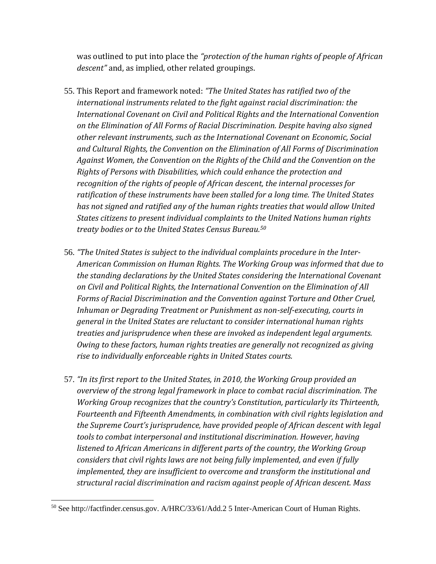was outlined to put into place the *"protection of the human rights of people of African descent"* and, as implied, other related groupings.

- 55. This Report and framework noted: *"The United States has ratified two of the international instruments related to the fight against racial discrimination: the International Covenant on Civil and Political Rights and the International Convention on the Elimination of All Forms of Racial Discrimination. Despite having also signed other relevant instruments, such as the International Covenant on Economic, Social and Cultural Rights, the Convention on the Elimination of All Forms of Discrimination Against Women, the Convention on the Rights of the Child and the Convention on the Rights of Persons with Disabilities, which could enhance the protection and recognition of the rights of people of African descent, the internal processes for ratification of these instruments have been stalled for a long time. The United States has not signed and ratified any of the human rights treaties that would allow United States citizens to present individual complaints to the United Nations human rights treaty bodies or to the United States Census Bureau.<sup>50</sup>*
- 56. *"The United States is subject to the individual complaints procedure in the Inter-American Commission on Human Rights. The Working Group was informed that due to the standing declarations by the United States considering the International Covenant on Civil and Political Rights, the International Convention on the Elimination of All Forms of Racial Discrimination and the Convention against Torture and Other Cruel, Inhuman or Degrading Treatment or Punishment as non-self-executing, courts in general in the United States are reluctant to consider international human rights treaties and jurisprudence when these are invoked as independent legal arguments. Owing to these factors, human rights treaties are generally not recognized as giving rise to individually enforceable rights in United States courts.*
- 57. *"In its first report to the United States, in 2010, the Working Group provided an overview of the strong legal framework in place to combat racial discrimination. The Working Group recognizes that the country's Constitution, particularly its Thirteenth, Fourteenth and Fifteenth Amendments, in combination with civil rights legislation and the Supreme Court's jurisprudence, have provided people of African descent with legal tools to combat interpersonal and institutional discrimination. However, having listened to African Americans in different parts of the country, the Working Group considers that civil rights laws are not being fully implemented, and even if fully implemented, they are insufficient to overcome and transform the institutional and structural racial discrimination and racism against people of African descent. Mass*

<sup>50</sup> See http://factfinder.census.gov. A/HRC/33/61/Add.2 5 Inter-American Court of Human Rights.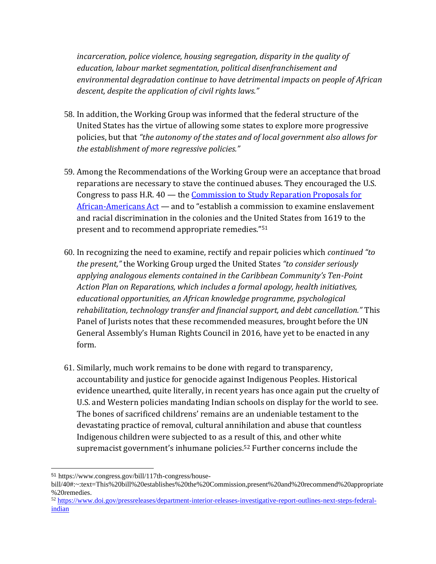*incarceration, police violence, housing segregation, disparity in the quality of education, labour market segmentation, political disenfranchisement and environmental degradation continue to have detrimental impacts on people of African descent, despite the application of civil rights laws."*

- 58. In addition, the Working Group was informed that the federal structure of the United States has the virtue of allowing some states to explore more progressive policies, but that *"the autonomy of the states and of local government also allows for the establishment of more regressive policies."*
- 59. Among the Recommendations of the Working Group were an acceptance that broad reparations are necessary to stave the continued abuses. They encouraged the U.S. Congress to pass H.R. 40 — the [Commission to Study Reparation Proposals for](https://www.congress.gov/bill/117th-congress/house-bill/40#:~:text=This%20bill%20establishes%20the%20Commission,present%20and%20recommend%20appropriate%20remedies.)  [African-Americans Act](https://www.congress.gov/bill/117th-congress/house-bill/40#:~:text=This%20bill%20establishes%20the%20Commission,present%20and%20recommend%20appropriate%20remedies.) — and to "establish a commission to examine enslavement and racial discrimination in the colonies and the United States from 1619 to the present and to recommend appropriate remedies."<sup>51</sup>
- 60. In recognizing the need to examine, rectify and repair policies which *continued "to the present,"* the Working Group urged the United States *"to consider seriously applying analogous elements contained in the Caribbean Community's Ten-Point Action Plan on Reparations, which includes a formal apology, health initiatives, educational opportunities, an African knowledge programme, psychological rehabilitation, technology transfer and financial support, and debt cancellation."* This Panel of Jurists notes that these recommended measures, brought before the UN General Assembly's Human Rights Council in 2016, have yet to be enacted in any form.
- 61. Similarly, much work remains to be done with regard to transparency, accountability and justice for genocide against Indigenous Peoples. Historical evidence unearthed, quite literally, in recent years has once again put the cruelty of U.S. and Western policies mandating Indian schools on display for the world to see. The bones of sacrificed childrens' remains are an undeniable testament to the devastating practice of removal, cultural annihilation and abuse that countless Indigenous children were subjected to as a result of this, and other white supremacist government's inhumane policies. <sup>52</sup> Further concerns include the

<sup>52</sup> [https://www.doi.gov/pressreleases/department-interior-releases-investigative-report-outlines-next-steps-federal](https://www.doi.gov/pressreleases/department-interior-releases-investigative-report-outlines-next-steps-federal-indian)[indian](https://www.doi.gov/pressreleases/department-interior-releases-investigative-report-outlines-next-steps-federal-indian)

<sup>51</sup> https://www.congress.gov/bill/117th-congress/house-

bill/40#:~:text=This%20bill%20establishes%20the%20Commission,present%20and%20recommend%20appropriate %20remedies.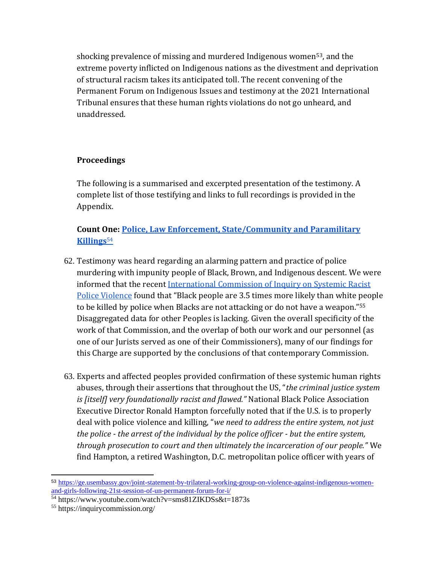shocking prevalence of missing and murdered Indigenous women<sup>53</sup>, and the extreme poverty inflicted on Indigenous nations as the divestment and deprivation of structural racism takes its anticipated toll. The recent convening of the Permanent Forum on Indigenous Issues and testimony at the 2021 International Tribunal ensures that these human rights violations do not go unheard, and unaddressed.

#### **Proceedings**

The following is a summarised and excerpted presentation of the testimony. A complete list of those testifying and links to full recordings is provided in the Appendix.

#### **Count One: [Police, Law Enforcement, State/Community](https://www.youtube.com/watch?v=sms81ZIKDSs&t=1873s) and Paramilitary [Killings](https://www.youtube.com/watch?v=sms81ZIKDSs&t=1873s)**<sup>54</sup>

- 62. Testimony was heard regarding an alarming pattern and practice of police murdering with impunity people of Black, Brown, and Indigenous descent. We were informed that the recent [International Commission of Inquiry on Systemic Racist](https://inquirycommission.org/)  [Police Violence](https://inquirycommission.org/) found that "Black people are 3.5 times more likely than white people to be killed by police when Blacks are not attacking or do not have a weapon."<sup>55</sup> Disaggregated data for other Peoples is lacking. Given the overall specificity of the work of that Commission, and the overlap of both our work and our personnel (as one of our Jurists served as one of their Commissioners), many of our findings for this Charge are supported by the conclusions of that contemporary Commission.
- 63. Experts and affected peoples provided confirmation of these systemic human rights abuses, through their assertions that throughout the US, "*the criminal justice system is [itself] very foundationally racist and flawed."* National Black Police Association Executive Director Ronald Hampton forcefully noted that if the U.S. is to properly deal with police violence and killing, "*we need to address the entire system, not just the police - the arrest of the individual by the police officer - but the entire system, through prosecution to court and then ultimately the incarceration of our people."* We find Hampton, a retired Washington, D.C. metropolitan police officer with years of

<sup>53</sup> [https://ge.usembassy.gov/joint-statement-by-trilateral-working-group-on-violence-against-indigenous-women](https://ge.usembassy.gov/joint-statement-by-trilateral-working-group-on-violence-against-indigenous-women-and-girls-following-21st-session-of-un-permanent-forum-for-i/)[and-girls-following-21st-session-of-un-permanent-forum-for-i/](https://ge.usembassy.gov/joint-statement-by-trilateral-working-group-on-violence-against-indigenous-women-and-girls-following-21st-session-of-un-permanent-forum-for-i/)

<sup>54</sup> https://www.youtube.com/watch?v=sms81ZIKDSs&t=1873s

<sup>55</sup> https://inquirycommission.org/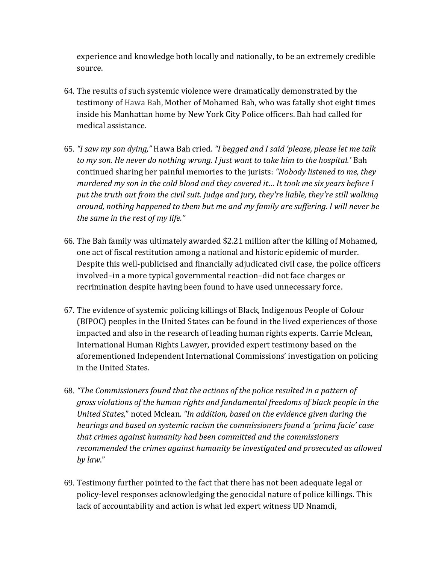experience and knowledge both locally and nationally, to be an extremely credible source.

- 64. The results of such systemic violence were dramatically demonstrated by the testimony of Hawa Bah, Mother of Mohamed Bah, who was fatally shot eight times inside his Manhattan home by New York City Police officers. Bah had called for medical assistance.
- 65. *"I saw my son dying,"* Hawa Bah cried. *"I begged and I said 'please, please let me talk to my son. He never do nothing wrong. I just want to take him to the hospital.'* Bah continued sharing her painful memories to the jurists: *"Nobody listened to me, they murdered my son in the cold blood and they covered it… It took me six years before I put the truth out from the civil suit. Judge and jury, they're liable, they're still walking around, nothing happened to them but me and my family are suffering. I will never be the same in the rest of my life."*
- 66. The Bah family was ultimately awarded \$2.21 million after the killing of Mohamed, one act of fiscal restitution among a national and historic epidemic of murder. Despite this well-publicised and financially adjudicated civil case, the police officers involved–in a more typical governmental reaction–did not face charges or recrimination despite having been found to have used unnecessary force.
- 67. The evidence of systemic policing killings of Black, Indigenous People of Colour (BIPOC) peoples in the United States can be found in the lived experiences of those impacted and also in the research of leading human rights experts. Carrie Mclean, International Human Rights Lawyer, provided expert testimony based on the aforementioned Independent International Commissions' investigation on policing in the United States.
- 68. *"The Commissioners found that the actions of the police resulted in a pattern of gross violations of the human rights and fundamental freedoms of black people in the United States,*" noted Mclean. *"In addition, based on the evidence given during the hearings and based on systemic racism the commissioners found a 'prima facie' case that crimes against humanity had been committed and the commissioners recommended the crimes against humanity be investigated and prosecuted as allowed by law*."
- 69. Testimony further pointed to the fact that there has not been adequate legal or policy-level responses acknowledging the genocidal nature of police killings. This lack of accountability and action is what led expert witness UD Nnamdi,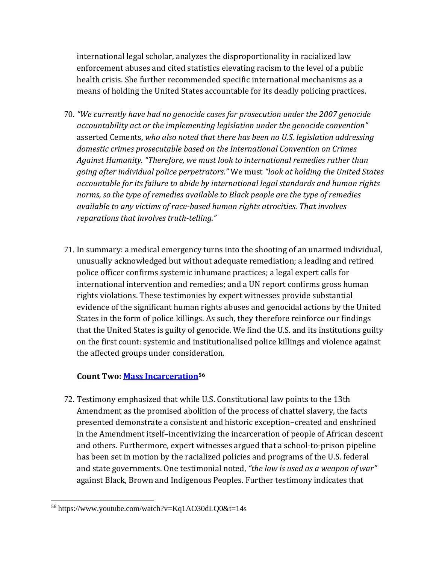international legal scholar, analyzes the disproportionality in racialized law enforcement abuses and cited statistics elevating racism to the level of a public health crisis. She further recommended specific international mechanisms as a means of holding the United States accountable for its deadly policing practices.

- 70. *"We currently have had no genocide cases for prosecution under the 2007 genocide accountability act or the implementing legislation under the genocide convention"*  asserted Cements, *who also noted that there has been no U.S. legislation addressing domestic crimes prosecutable based on the International Convention on Crimes Against Humanity. "Therefore, we must look to international remedies rather than going after individual police perpetrators."* We must *"look at holding the United States accountable for its failure to abide by international legal standards and human rights norms, so the type of remedies available to Black people are the type of remedies available to any victims of race-based human rights atrocities. That involves reparations that involves truth-telling."*
- 71. In summary: a medical emergency turns into the shooting of an unarmed individual, unusually acknowledged but without adequate remediation; a leading and retired police officer confirms systemic inhumane practices; a legal expert calls for international intervention and remedies; and a UN report confirms gross human rights violations. These testimonies by expert witnesses provide substantial evidence of the significant human rights abuses and genocidal actions by the United States in the form of police killings. As such, they therefore reinforce our findings that the United States is guilty of genocide. We find the U.S. and its institutions guilty on the first count: systemic and institutionalised police killings and violence against the affected groups under consideration.

#### **Count Two: [Mass Incarceration](https://www.youtube.com/watch?v=Kq1AO30dLQ0&t=14s)<sup>56</sup>**

72. Testimony emphasized that while U.S. Constitutional law points to the 13th Amendment as the promised abolition of the process of chattel slavery, the facts presented demonstrate a consistent and historic exception–created and enshrined in the Amendment itself–incentivizing the incarceration of people of African descent and others. Furthermore, expert witnesses argued that a school-to-prison pipeline has been set in motion by the racialized policies and programs of the U.S. federal and state governments. One testimonial noted, *"the law is used as a weapon of war"*  against Black, Brown and Indigenous Peoples. Further testimony indicates that

<sup>56</sup> https://www.youtube.com/watch?v=Kq1AO30dLQ0&t=14s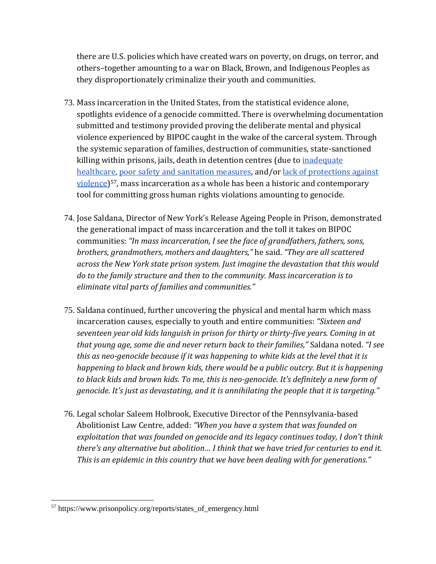there are U.S. policies which have created wars on poverty, on drugs, on terror, and others–together amounting to a war on Black, Brown, and Indigenous Peoples as they disproportionately criminalize their youth and communities.

- 73. Mass incarceration in the United States, from the statistical evidence alone, spotlights evidence of a genocide committed. There is overwhelming documentation submitted and testimony provided proving the deliberate mental and physical violence experienced by BIPOC caught in the wake of the carceral system. Through the systemic separation of families, destruction of communities, state-sanctioned killing within prisons, jails, death in detention centres (due to *inadequate* [healthcare,](https://www.prisonpolicy.org/reports/states_of_emergency.html) [poor safety and sanitation measures,](https://www.themarshallproject.org/2020/05/30/first-came-the-pandemic-then-came-the-raw-sewage) and/or [lack of protections against](https://www.wbez.org/stories/motive-season-4-episode-1-the-blind-spot/f7c43061-b67f-440a-91f9-1cc52b1b21c1)  [violence\)](https://www.wbez.org/stories/motive-season-4-episode-1-the-blind-spot/f7c43061-b67f-440a-91f9-1cc52b1b21c1)<sup>57</sup>, mass incarceration as a whole has been a historic and contemporary tool for committing gross human rights violations amounting to genocide.
- 74. Jose Saldana, Director of New York's Release Ageing People in Prison, demonstrated the generational impact of mass incarceration and the toll it takes on BIPOC communities: *"In mass incarceration, I see the face of grandfathers, fathers, sons, brothers, grandmothers, mothers and daughters,"* he said. *"They are all scattered across the New York state prison system. Just imagine the devastation that this would do to the family structure and then to the community. Mass incarceration is to eliminate vital parts of families and communities."*
- 75. Saldana continued, further uncovering the physical and mental harm which mass incarceration causes, especially to youth and entire communities: *"Sixteen and seventeen year old kids languish in prison for thirty or thirty-five years. Coming in at that young age, some die and never return back to their families,"* Saldana noted. *"I see this as neo-genocide because if it was happening to white kids at the level that it is happening to black and brown kids, there would be a public outcry. But it is happening to black kids and brown kids. To me, this is neo-genocide. It's definitely a new form of genocide. It's just as devastating, and it is annihilating the people that it is targeting."*
- 76. Legal scholar Saleem Holbrook, Executive Director of the Pennsylvania-based Abolitionist Law Centre, added: *"When you have a system that was founded on exploitation that was founded on genocide and its legacy continues today, I don't think there's any alternative but abolition… I think that we have tried for centuries to end it. This is an epidemic in this country that we have been dealing with for generations."*

<sup>57</sup> https://www.prisonpolicy.org/reports/states\_of\_emergency.html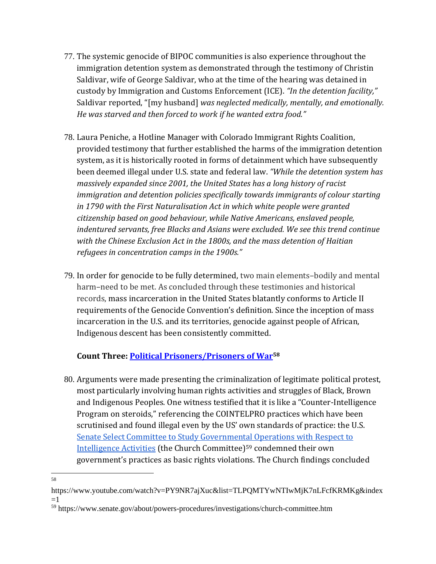- 77. The systemic genocide of BIPOC communities is also experience throughout the immigration detention system as demonstrated through the testimony of Christin Saldivar, wife of George Saldivar, who at the time of the hearing was detained in custody by Immigration and Customs Enforcement (ICE). *"In the detention facility,"*  Saldivar reported, "[my husband] *was neglected medically, mentally, and emotionally. He was starved and then forced to work if he wanted extra food."*
- 78. Laura Peniche, a Hotline Manager with Colorado Immigrant Rights Coalition, provided testimony that further established the harms of the immigration detention system, as it is historically rooted in forms of detainment which have subsequently been deemed illegal under U.S. state and federal law. *"While the detention system has massively expanded since 2001, the United States has a long history of racist immigration and detention policies specifically towards immigrants of colour starting in 1790 with the First Naturalisation Act in which white people were granted citizenship based on good behaviour, while Native Americans, enslaved people, indentured servants, free Blacks and Asians were excluded. We see this trend continue with the Chinese Exclusion Act in the 1800s, and the mass detention of Haitian refugees in concentration camps in the 1900s."*
- 79. In order for genocide to be fully determined, two main elements–bodily and mental harm–need to be met. As concluded through these testimonies and historical records, mass incarceration in the United States blatantly conforms to Article II requirements of the Genocide Convention's definition. Since the inception of mass incarceration in the U.S. and its territories, genocide against people of African, Indigenous descent has been consistently committed.

#### **Count Three: [Political Prisoners/Prisoners of War](https://www.youtube.com/watch?v=PY9NR7ajXuc&list=TLPQMTYwNTIwMjK7nLFcfKRMKg&index=1)<sup>58</sup>**

- 80. Arguments were made presenting the criminalization of legitimate political protest, most particularly involving human rights activities and struggles of Black, Brown and Indigenous Peoples. One witness testified that it is like a "Counter-Intelligence Program on steroids," referencing the COINTELPRO practices which have been scrutinised and found illegal even by the US' own standards of practice: the U.S. [Senate Select Committee to Study Governmental Operations with Respect to](https://www.senate.gov/about/powers-procedures/investigations/church-committee.htm)  [Intelligence Activities](https://www.senate.gov/about/powers-procedures/investigations/church-committee.htm) (the Church Committee)<sup>59</sup> condemned their own government's practices as basic rights violations. The Church findings concluded
- 58

https://www.youtube.com/watch?v=PY9NR7ajXuc&list=TLPQMTYwNTIwMjK7nLFcfKRMKg&index  $=1$ 

<sup>59</sup> https://www.senate.gov/about/powers-procedures/investigations/church-committee.htm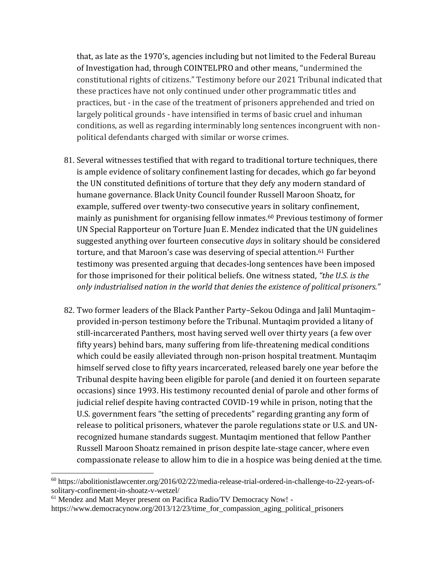that, as late as the 1970's, agencies including but not limited to the Federal Bureau of Investigation had, through COINTELPRO and other means, "undermined the constitutional rights of citizens." Testimony before our 2021 Tribunal indicated that these practices have not only continued under other programmatic titles and practices, but - in the case of the treatment of prisoners apprehended and tried on largely political grounds - have intensified in terms of basic cruel and inhuman conditions, as well as regarding interminably long sentences incongruent with nonpolitical defendants charged with similar or worse crimes.

- 81. Several witnesses testified that with regard to traditional torture techniques, there is ample evidence of solitary confinement lasting for decades, which go far beyond the UN constituted definitions of torture that they defy any modern standard of humane governance. Black Unity Council founder Russell Maroon Shoatz, for example, suffered over twenty-two consecutive years in solitary confinement, mainly as punishment for organising fellow inmates.<sup>60</sup> Previous testimony of former UN Special Rapporteur on Torture Juan E. Mendez indicated that the UN guidelines suggested anything over fourteen consecutive *days* in solitary should be considered torture, and that Maroon's case was deserving of special attention.<sup>61</sup> Further testimony was presented arguing that decades-long sentences have been imposed for those imprisoned for their political beliefs. One witness stated, *"the U.S. is the only industrialised nation in the world that denies the existence of political prisoners."*
- 82. Two former leaders of the Black Panther Party–Sekou Odinga and Jalil Muntaqim– provided in-person testimony before the Tribunal. Muntaqim provided a litany of still-incarcerated Panthers, most having served well over thirty years (a few over fifty years) behind bars, many suffering from life-threatening medical conditions which could be easily alleviated through non-prison hospital treatment. Muntaqim himself served close to fifty years incarcerated, released barely one year before the Tribunal despite having been eligible for parole (and denied it on fourteen separate occasions) since 1993. His testimony recounted denial of parole and other forms of judicial relief despite having contracted COVID-19 while in prison, noting that the U.S. government fears "the setting of precedents" regarding granting any form of release to political prisoners, whatever the parole regulations state or U.S. and UNrecognized humane standards suggest. Muntaqim mentioned that fellow Panther Russell Maroon Shoatz remained in prison despite late-stage cancer, where even compassionate release to allow him to die in a hospice was being denied at the time.

<sup>60</sup> https://abolitionistlawcenter.org/2016/02/22/media-release-trial-ordered-in-challenge-to-22-years-ofsolitary-confinement-in-shoatz-v-wetzel/

<sup>61</sup> Mendez and Matt Meyer present on Pacifica Radio/TV Democracy Now! -

https://www.democracynow.org/2013/12/23/time\_for\_compassion\_aging\_political\_prisoners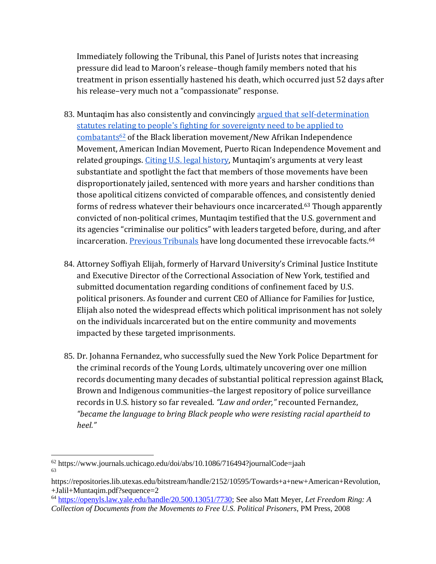Immediately following the Tribunal, this Panel of Jurists notes that increasing pressure did lead to Maroon's release–though family members noted that his treatment in prison essentially hastened his death, which occurred just 52 days after his release–very much not a "compassionate" response.

- 83. Muntaqim has also consistently and convincingly [argued that self-determination](https://www.journals.uchicago.edu/doi/abs/10.1086/716494?journalCode=jaah)  [statutes relating to people's fighting for sovereignty need to be applied to](https://www.journals.uchicago.edu/doi/abs/10.1086/716494?journalCode=jaah) [combatants](https://www.journals.uchicago.edu/doi/abs/10.1086/716494?journalCode=jaah)<sup>62</sup> of the Black liberation movement/New Afrikan Independence Movement, American Indian Movement, Puerto Rican Independence Movement and related groupings. Citing [U.S. legal history](https://repositories.lib.utexas.edu/bitstream/handle/2152/10595/Towards+a+new+American+Revolution,+Jalil+Muntaqim.pdf?sequence=2), Muntaqim's arguments at very least substantiate and spotlight the fact that members of those movements have been disproportionately jailed, sentenced with more years and harsher conditions than those apolitical citizens convicted of comparable offences, and consistently denied forms of redress whatever their behaviours once incarcerated.<sup>63</sup> Though apparently convicted of non-political crimes, Muntaqim testified that the U.S. government and its agencies "criminalise our politics" with leaders targeted before, during, and after incarceration[. Previous Tribunals](https://openyls.law.yale.edu/handle/20.500.13051/7730) have long documented these irrevocable facts.<sup>64</sup>
- 84. Attorney Soffiyah Elijah, formerly of Harvard University's Criminal Justice Institute and Executive Director of the Correctional Association of New York, testified and submitted documentation regarding conditions of confinement faced by U.S. political prisoners. As founder and current CEO of Alliance for Families for Justice, Elijah also noted the widespread effects which political imprisonment has not solely on the individuals incarcerated but on the entire community and movements impacted by these targeted imprisonments.
- 85. Dr. Johanna Fernandez, who successfully sued the New York Police Department for the criminal records of the Young Lords, ultimately uncovering over one million records documenting many decades of substantial political repression against Black, Brown and Indigenous communities–the largest repository of police surveillance records in U.S. history so far revealed. *"Law and order,"* recounted Fernandez, *"became the language to bring Black people who were resisting racial apartheid to heel."*

<sup>64</sup> [https://openyls.law.yale.edu/handle/20.500.13051/7730;](https://openyls.law.yale.edu/handle/20.500.13051/7730) See also Matt Meyer, *Let Freedom Ring: A Collection of Documents from the Movements to Free U.S. Political Prisoners*, PM Press, 2008

<sup>62</sup> https://www.journals.uchicago.edu/doi/abs/10.1086/716494?journalCode=jaah 63

https://repositories.lib.utexas.edu/bitstream/handle/2152/10595/Towards+a+new+American+Revolution, +Jalil+Muntaqim.pdf?sequence=2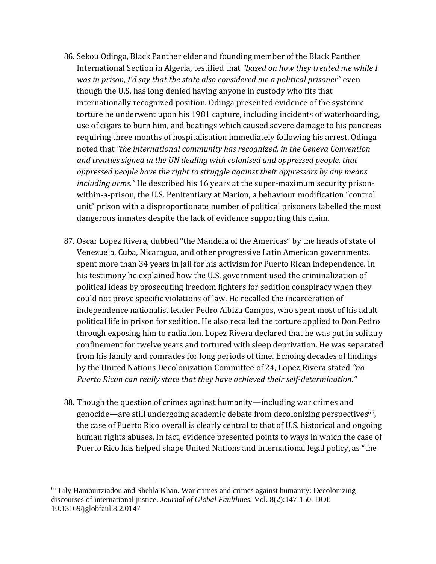- 86. Sekou Odinga, Black Panther elder and founding member of the Black Panther International Section in Algeria, testified that *"based on how they treated me while I was in prison, I'd say that the state also considered me a political prisoner"* even though the U.S. has long denied having anyone in custody who fits that internationally recognized position. Odinga presented evidence of the systemic torture he underwent upon his 1981 capture, including incidents of waterboarding, use of cigars to burn him, and beatings which caused severe damage to his pancreas requiring three months of hospitalisation immediately following his arrest. Odinga noted that *"the international community has recognized, in the Geneva Convention and treaties signed in the UN dealing with colonised and oppressed people, that oppressed people have the right to struggle against their oppressors by any means including arms."* He described his 16 years at the super-maximum security prisonwithin-a-prison, the U.S. Penitentiary at Marion, a behaviour modification "control unit" prison with a disproportionate number of political prisoners labelled the most dangerous inmates despite the lack of evidence supporting this claim.
- 87. Oscar Lopez Rivera, dubbed "the Mandela of the Americas" by the heads of state of Venezuela, Cuba, Nicaragua, and other progressive Latin American governments, spent more than 34 years in jail for his activism for Puerto Rican independence. In his testimony he explained how the U.S. government used the criminalization of political ideas by prosecuting freedom fighters for sedition conspiracy when they could not prove specific violations of law. He recalled the incarceration of independence nationalist leader Pedro Albizu Campos, who spent most of his adult political life in prison for sedition. He also recalled the torture applied to Don Pedro through exposing him to radiation. Lopez Rivera declared that he was put in solitary confinement for twelve years and tortured with sleep deprivation. He was separated from his family and comrades for long periods of time. Echoing decades of findings by the United Nations Decolonization Committee of 24, Lopez Rivera stated *"no Puerto Rican can really state that they have achieved their self-determination."*
- 88. Though the question of crimes against humanity—including war crimes and genocide—are still undergoing academic debate from decolonizing perspectives<sup>65</sup>, the case of Puerto Rico overall is clearly central to that of U.S. historical and ongoing human rights abuses. In fact, evidence presented points to ways in which the case of Puerto Rico has helped shape United Nations and international legal policy, as "the

<sup>&</sup>lt;sup>65</sup> Lily Hamourtziadou and Shehla Khan. War crimes and crimes against humanity: Decolonizing discourses of international justice. *Journal of Global Faultlines.* Vol. 8(2):147-150. DOI: 10.13169/jglobfaul.8.2.0147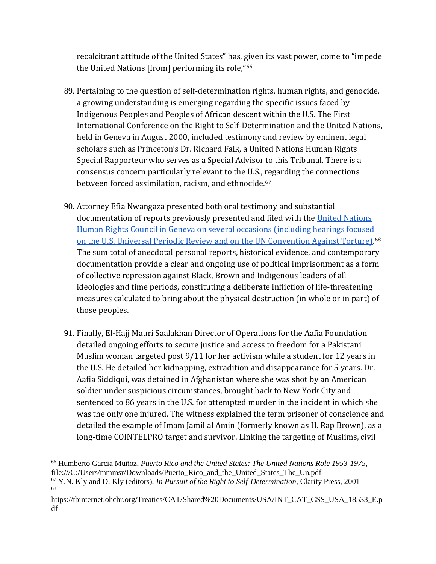recalcitrant attitude of the United States" has, given its vast power, come to "impede the United Nations [from] performing its role,"66

- 89. Pertaining to the question of self-determination rights, human rights, and genocide, a growing understanding is emerging regarding the specific issues faced by Indigenous Peoples and Peoples of African descent within the U.S. The First International Conference on the Right to Self-Determination and the United Nations, held in Geneva in August 2000, included testimony and review by eminent legal scholars such as Princeton's Dr. Richard Falk, a United Nations Human Rights Special Rapporteur who serves as a Special Advisor to this Tribunal. There is a consensus concern particularly relevant to the U.S., regarding the connections between forced assimilation, racism, and ethnocide.<sup>67</sup>
- 90. Attorney Efia Nwangaza presented both oral testimony and substantial documentation of reports previously presented and filed with the United Nations Human Rights [Council in Geneva on several occasions \(including hearings focused](https://tbinternet.ohchr.org/Treaties/CAT/Shared%20Documents/USA/INT_CAT_CSS_USA_18533_E.pdf)  on the [U.S. Universal Periodic Review and on the UN](https://tbinternet.ohchr.org/Treaties/CAT/Shared%20Documents/USA/INT_CAT_CSS_USA_18533_E.pdf) Convention Against Torture).<sup>68</sup> The sum total of anecdotal personal reports, historical evidence, and contemporary documentation provide a clear and ongoing use of political imprisonment as a form of collective repression against Black, Brown and Indigenous leaders of all ideologies and time periods, constituting a deliberate infliction of life-threatening measures calculated to bring about the physical destruction (in whole or in part) of those peoples.
- 91. Finally, El-Hajj Mauri Saalakhan Director of Operations for the Aafia Foundation detailed ongoing efforts to secure justice and access to freedom for a Pakistani Muslim woman targeted post 9/11 for her activism while a student for 12 years in the U.S. He detailed her kidnapping, extradition and disappearance for 5 years. Dr. Aafia Siddiqui, was detained in Afghanistan where she was shot by an American soldier under suspicious circumstances, brought back to New York City and sentenced to 86 years in the U.S. for attempted murder in the incident in which she was the only one injured. The witness explained the term prisoner of conscience and detailed the example of Imam Jamil al Amin (formerly known as H. Rap Brown), as a long-time COINTELPRO target and survivor. Linking the targeting of Muslims, civil

<sup>67</sup> Y.N. Kly and D. Kly (editors), *In Pursuit of the Right to Self-Determination*, Clarity Press, 2001 68

<sup>66</sup> Humberto Garcia Muñoz, *Puerto Rico and the United States: The United Nations Role 1953-1975*, file:///C:/Users/mmmsr/Downloads/Puerto\_Rico\_and\_the\_United\_States\_The\_Un.pdf

https://tbinternet.ohchr.org/Treaties/CAT/Shared%20Documents/USA/INT\_CAT\_CSS\_USA\_18533\_E.p df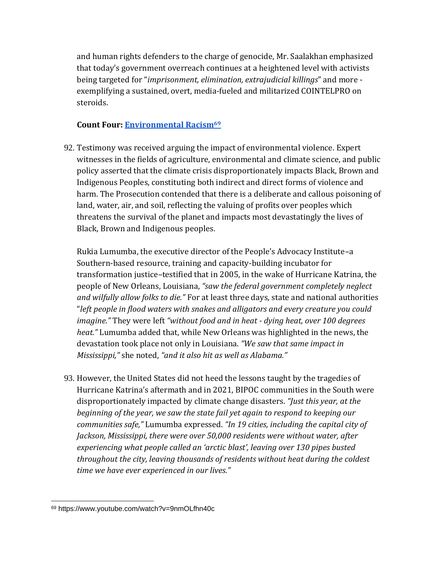and human rights defenders to the charge of genocide, Mr. Saalakhan emphasized that today's government overreach continues at a heightened level with activists being targeted for "*imprisonment, elimination, extrajudicial killings*" and more exemplifying a sustained, overt, media-fueled and militarized COINTELPRO on steroids.

#### **Count Four: [Environmental Racism](https://www.youtube.com/watch?v=9nmOLfhn40c)<sup>69</sup>**

92. Testimony was received arguing the impact of environmental violence. Expert witnesses in the fields of agriculture, environmental and climate science, and public policy asserted that the climate crisis disproportionately impacts Black, Brown and Indigenous Peoples, constituting both indirect and direct forms of violence and harm. The Prosecution contended that there is a deliberate and callous poisoning of land, water, air, and soil, reflecting the valuing of profits over peoples which threatens the survival of the planet and impacts most devastatingly the lives of Black, Brown and Indigenous peoples.

Rukia Lumumba, the executive director of the People's Advocacy Institute–a Southern-based resource, training and capacity-building incubator for transformation justice–testified that in 2005, in the wake of Hurricane Katrina, the people of New Orleans, Louisiana, *"saw the federal government completely neglect and wilfully allow folks to die."* For at least three days, state and national authorities "*left people in flood waters with snakes and alligators and every creature you could imagine."* They were left *"without food and in heat - dying heat, over 100 degrees heat."* Lumumba added that, while New Orleans was highlighted in the news, the devastation took place not only in Louisiana. *"We saw that same impact in Mississippi,"* she noted, *"and it also hit as well as Alabama."* 

93. However, the United States did not heed the lessons taught by the tragedies of Hurricane Katrina's aftermath and in 2021, BIPOC communities in the South were disproportionately impacted by climate change disasters. *"Just this year, at the beginning of the year, we saw the state fail yet again to respond to keeping our communities safe,"* Lumumba expressed. *"In 19 cities, including the capital city of Jackson, Mississippi, there were over 50,000 residents were without water, after experiencing what people called an 'arctic blast', leaving over 130 pipes busted throughout the city, leaving thousands of residents without heat during the coldest time we have ever experienced in our lives."* 

<sup>69</sup> https://www.youtube.com/watch?v=9nmOLfhn40c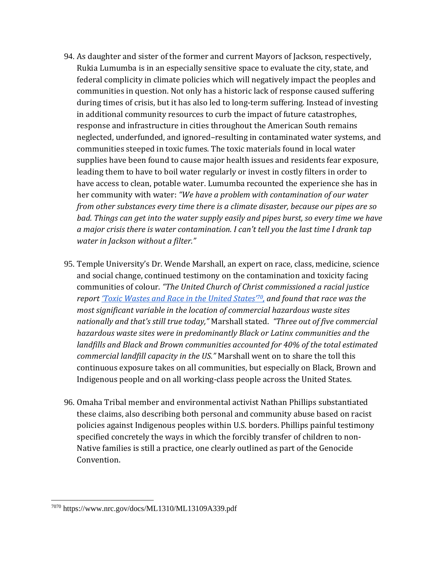- 94. As daughter and sister of the former and current Mayors of Jackson, respectively, Rukia Lumumba is in an especially sensitive space to evaluate the city, state, and federal complicity in climate policies which will negatively impact the peoples and communities in question. Not only has a historic lack of response caused suffering during times of crisis, but it has also led to long-term suffering. Instead of investing in additional community resources to curb the impact of future catastrophes, response and infrastructure in cities throughout the American South remains neglected, underfunded, and ignored–resulting in contaminated water systems, and communities steeped in toxic fumes. The toxic materials found in local water supplies have been found to cause major health issues and residents fear exposure, leading them to have to boil water regularly or invest in costly filters in order to have access to clean, potable water. Lumumba recounted the experience she has in her community with water: *"We have a problem with contamination of our water from other substances every time there is a climate disaster, because our pipes are so bad. Things can get into the water supply easily and pipes burst, so every time we have a major crisis there is water contamination. I can't tell you the last time I drank tap water in Jackson without a filter."*
- 95. Temple University's Dr. Wende Marshall, an expert on race, class, medicine, science and social change, continued testimony on the contamination and toxicity facing communities of colour. *"The United Church of Christ commissioned a racial justice report ['Toxic Wastes and Race in the United States'](https://www.nrc.gov/docs/ML1310/ML13109A339.pdf)70, and found that race was the most significant variable in the location of commercial hazardous waste sites nationally and that's still true today,"* Marshall stated. *"Three out of five commercial hazardous waste sites were in predominantly Black or Latinx communities and the landfills and Black and Brown communities accounted for 40% of the total estimated commercial landfill capacity in the US."* Marshall went on to share the toll this continuous exposure takes on all communities, but especially on Black, Brown and Indigenous people and on all working-class people across the United States.
- 96. Omaha Tribal member and environmental activist Nathan Phillips substantiated these claims, also describing both personal and community abuse based on racist policies against Indigenous peoples within U.S. borders. Phillips painful testimony specified concretely the ways in which the forcibly transfer of children to non-Native families is still a practice, one clearly outlined as part of the Genocide Convention.

<sup>7070</sup> https://www.nrc.gov/docs/ML1310/ML13109A339.pdf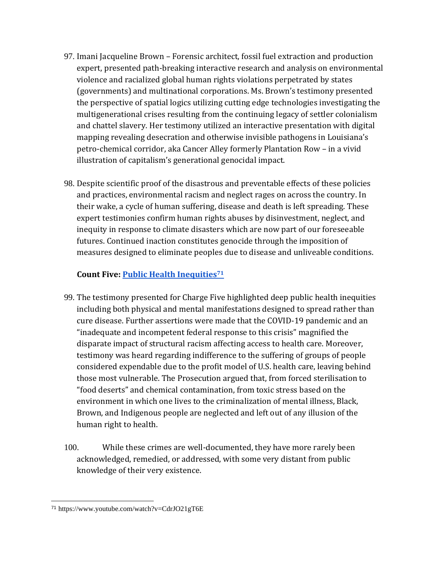- 97. Imani Jacqueline Brown Forensic architect, fossil fuel extraction and production expert, presented path-breaking interactive research and analysis on environmental violence and racialized global human rights violations perpetrated by states (governments) and multinational corporations. Ms. Brown's testimony presented the perspective of spatial logics utilizing cutting edge technologies investigating the multigenerational crises resulting from the continuing legacy of settler colonialism and chattel slavery. Her testimony utilized an interactive presentation with digital mapping revealing desecration and otherwise invisible pathogens in Louisiana's petro-chemical corridor, aka Cancer Alley formerly Plantation Row – in a vivid illustration of capitalism's generational genocidal impact.
- 98. Despite scientific proof of the disastrous and preventable effects of these policies and practices, environmental racism and neglect rages on across the country. In their wake, a cycle of human suffering, disease and death is left spreading. These expert testimonies confirm human rights abuses by disinvestment, neglect, and inequity in response to climate disasters which are now part of our foreseeable futures. Continued inaction constitutes genocide through the imposition of measures designed to eliminate peoples due to disease and unliveable conditions.

#### **Count Five: [Public Health Inequities](https://www.youtube.com/watch?v=CdrJO21gT6E)<sup>71</sup>**

- 99. The testimony presented for Charge Five highlighted deep public health inequities including both physical and mental manifestations designed to spread rather than cure disease. Further assertions were made that the COVID-19 pandemic and an "inadequate and incompetent federal response to this crisis" magnified the disparate impact of structural racism affecting access to health care. Moreover, testimony was heard regarding indifference to the suffering of groups of people considered expendable due to the profit model of U.S. health care, leaving behind those most vulnerable. The Prosecution argued that, from forced sterilisation to "food deserts" and chemical contamination, from toxic stress based on the environment in which one lives to the criminalization of mental illness, Black, Brown, and Indigenous people are neglected and left out of any illusion of the human right to health.
- 100. While these crimes are well-documented, they have more rarely been acknowledged, remedied, or addressed, with some very distant from public knowledge of their very existence.

<sup>71</sup> https://www.youtube.com/watch?v=CdrJO21gT6E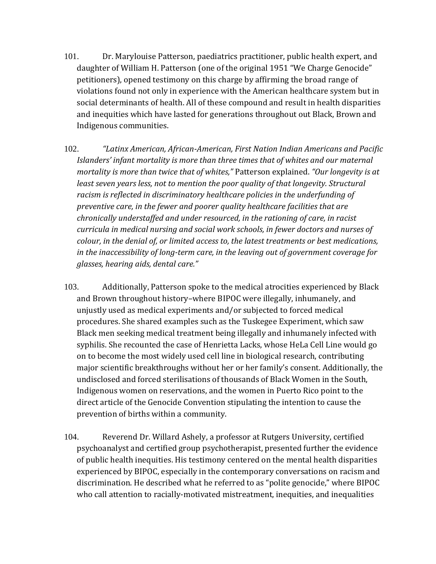- 101. Dr. Marylouise Patterson, paediatrics practitioner, public health expert, and daughter of William H. Patterson (one of the original 1951 "We Charge Genocide" petitioners), opened testimony on this charge by affirming the broad range of violations found not only in experience with the American healthcare system but in social determinants of health. All of these compound and result in health disparities and inequities which have lasted for generations throughout out Black, Brown and Indigenous communities.
- 102. *"Latinx American, African-American, First Nation Indian Americans and Pacific Islanders' infant mortality is more than three times that of whites and our maternal mortality is more than twice that of whites,"* Patterson explained. *"Our longevity is at least seven years less, not to mention the poor quality of that longevity. Structural racism is reflected in discriminatory healthcare policies in the underfunding of preventive care, in the fewer and poorer quality healthcare facilities that are chronically understaffed and under resourced, in the rationing of care, in racist curricula in medical nursing and social work schools, in fewer doctors and nurses of colour, in the denial of, or limited access to, the latest treatments or best medications, in the inaccessibility of long-term care, in the leaving out of government coverage for glasses, hearing aids, dental care."*
- 103. Additionally, Patterson spoke to the medical atrocities experienced by Black and Brown throughout history–where BIPOC were illegally, inhumanely, and unjustly used as medical experiments and/or subjected to forced medical procedures. She shared examples such as the Tuskegee Experiment, which saw Black men seeking medical treatment being illegally and inhumanely infected with syphilis. She recounted the case of Henrietta Lacks, whose HeLa Cell Line would go on to become the most widely used cell line in biological research, contributing major scientific breakthroughs without her or her family's consent. Additionally, the undisclosed and forced sterilisations of thousands of Black Women in the South, Indigenous women on reservations, and the women in Puerto Rico point to the direct article of the Genocide Convention stipulating the intention to cause the prevention of births within a community.
- 104. Reverend Dr. Willard Ashely, a professor at Rutgers University, certified psychoanalyst and certified group psychotherapist, presented further the evidence of public health inequities. His testimony centered on the mental health disparities experienced by BIPOC, especially in the contemporary conversations on racism and discrimination. He described what he referred to as "polite genocide," where BIPOC who call attention to racially-motivated mistreatment, inequities, and inequalities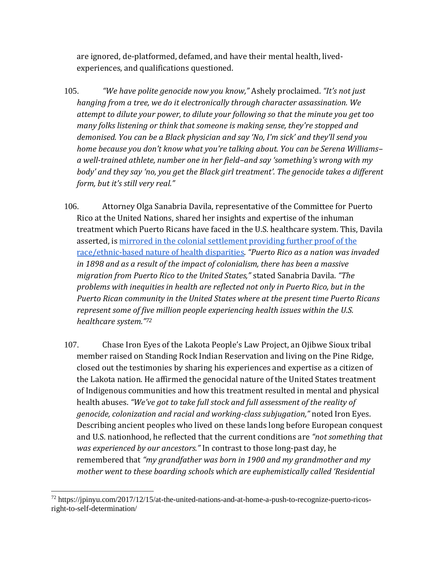are ignored, de-platformed, defamed, and have their mental health, livedexperiences, and qualifications questioned.

- 105. *"We have polite genocide now you know,"* Ashely proclaimed. *"It's not just hanging from a tree, we do it electronically through character assassination. We attempt to dilute your power, to dilute your following so that the minute you get too many folks listening or think that someone is making sense, they're stopped and demonised. You can be a Black physician and say 'No, I'm sick' and they'll send you home because you don't know what you're talking about. You can be Serena Williams– a well-trained athlete, number one in her field–and say 'something's wrong with my body' and they say 'no, you get the Black girl treatment'. The genocide takes a different form, but it's still very real."*
- 106. Attorney Olga Sanabria Davila, representative of the Committee for Puerto Rico at the United Nations, shared her insights and expertise of the inhuman treatment which Puerto Ricans have faced in the U.S. healthcare system. This, Davila asserted, is [mirrored in the colonial settlement providing further proof of the](https://jpinyu.com/2017/12/15/at-the-united-nations-and-at-home-a-push-to-recognize-puerto-ricos-right-to-self-determination/)  [race/ethnic-based nature of health disparities.](https://jpinyu.com/2017/12/15/at-the-united-nations-and-at-home-a-push-to-recognize-puerto-ricos-right-to-self-determination/) *"Puerto Rico as a nation was invaded in 1898 and as a result of the impact of colonialism, there has been a massive migration from Puerto Rico to the United States,"* stated Sanabria Davila. *"The problems with inequities in health are reflected not only in Puerto Rico, but in the Puerto Rican community in the United States where at the present time Puerto Ricans represent some of five million people experiencing health issues within the U.S. healthcare system."<sup>72</sup>*
- 107. Chase Iron Eyes of the Lakota People's Law Project, an Ojibwe Sioux tribal member raised on Standing Rock Indian Reservation and living on the Pine Ridge, closed out the testimonies by sharing his experiences and expertise as a citizen of the Lakota nation. He affirmed the genocidal nature of the United States treatment of Indigenous communities and how this treatment resulted in mental and physical health abuses. *"We've got to take full stock and full assessment of the reality of genocide, colonization and racial and working-class subjugation,"* noted Iron Eyes. Describing ancient peoples who lived on these lands long before European conquest and U.S. nationhood, he reflected that the current conditions are *"not something that was experienced by our ancestors."* In contrast to those long-past day, he remembered that *"my grandfather was born in 1900 and my grandmother and my mother went to these boarding schools which are euphemistically called 'Residential*

<sup>72</sup> https://jpinyu.com/2017/12/15/at-the-united-nations-and-at-home-a-push-to-recognize-puerto-ricosright-to-self-determination/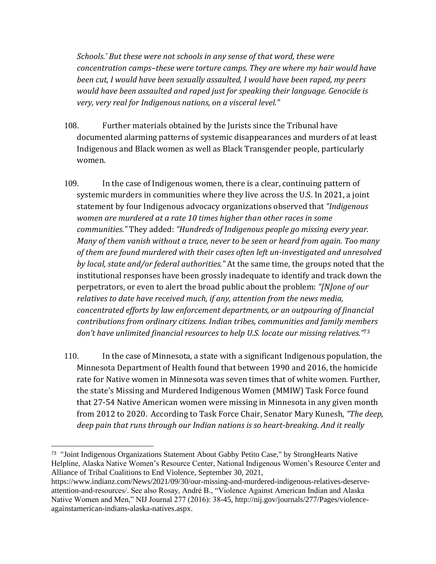*Schools.' But these were not schools in any sense of that word, these were concentration camps–these were torture camps. They are where my hair would have been cut, I would have been sexually assaulted, I would have been raped, my peers would have been assaulted and raped just for speaking their language. Genocide is very, very real for Indigenous nations, on a visceral level."* 

- 108. Further materials obtained by the Jurists since the Tribunal have documented alarming patterns of systemic disappearances and murders of at least Indigenous and Black women as well as Black Transgender people, particularly women.
- 109. In the case of Indigenous women, there is a clear, continuing pattern of systemic murders in communities where they live across the U.S. In 2021, a joint statement by four Indigenous advocacy organizations observed that *"Indigenous women are murdered at a rate 10 times higher than other races in some communities."* They added: *"Hundreds of Indigenous people go missing every year. Many of them vanish without a trace, never to be seen or heard from again. Too many of them are found murdered with their cases often left un-investigated and unresolved by local, state and/or federal authorities."* At the same time, the groups noted that the institutional responses have been grossly inadequate to identify and track down the perpetrators, or even to alert the broad public about the problem: *"[N]one of our relatives to date have received much, if any, attention from the news media, concentrated efforts by law enforcement departments, or an outpouring of financial contributions from ordinary citizens. Indian tribes, communities and family members don't have unlimited financial resources to help U.S. locate our missing relatives."*<sup>73</sup>
- 110. In the case of Minnesota, a state with a significant Indigenous population, the Minnesota Department of Health found that between 1990 and 2016, the homicide rate for Native women in Minnesota was seven times that of white women. Further, the state's Missing and Murdered Indigenous Women (MMIW) Task Force found that 27-54 Native American women were missing in Minnesota in any given month from 2012 to 2020. According to Task Force Chair, Senator Mary Kunesh, *"The deep, deep pain that runs through our Indian nations is so heart-breaking. And it really*

<sup>73</sup> "Joint Indigenous Organizations Statement About Gabby Petito Case," by StrongHearts Native Helpline, Alaska Native Women's Resource Center, National Indigenous Women's Resource Center and Alliance of Tribal Coalitions to End Violence, September 30, 2021,

https://www.indianz.com/News/2021/09/30/our-missing-and-murdered-indigenous-relatives-deserveattention-and-resources/. See also Rosay, André B., "Violence Against American Indian and Alaska Native Women and Men," NIJ Journal 277 (2016): 38-45, http://nij.gov/journals/277/Pages/violenceagainstamerican-indians-alaska-natives.aspx.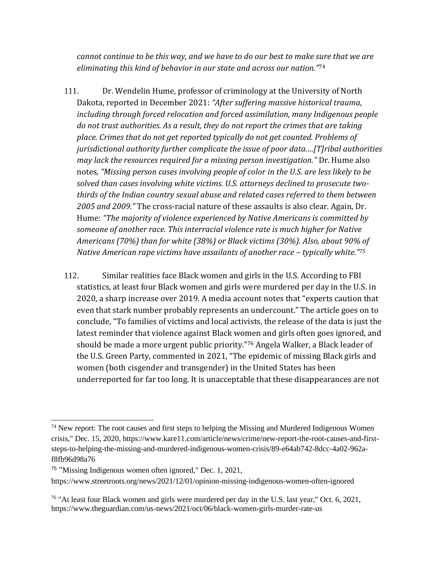*cannot continue to be this way, and we have to do our best to make sure that we are eliminating this kind of behavior in our state and across our nation."*<sup>74</sup>

- 111. Dr. Wendelin Hume, professor of criminology at the University of North Dakota, reported in December 2021: *"After suffering massive historical trauma, including through forced relocation and forced assimilation, many Indigenous people do not trust authorities. As a result, they do not report the crimes that are taking place. Crimes that do not get reported typically do not get counted. Problems of jurisdictional authority further complicate the issue of poor data.…[T]ribal authorities may lack the resources required for a missing person investigation."* Dr. Hume also notes, *"Missing person cases involving people of color in the U.S. are less likely to be solved than cases involving white victims. U.S. attorneys declined to prosecute twothirds of the Indian country sexual abuse and related cases referred to them between 2005 and 2009."* The cross-racial nature of these assaults is also clear. Again, Dr. Hume: *"The majority of violence experienced by Native Americans is committed by someone of another race. This interracial violence rate is much higher for Native Americans (70%) than for white (38%) or Black victims (30%). Also, about 90% of Native American rape victims have assailants of another race – typically white." 75*
- 112. Similar realities face Black women and girls in the U.S. According to FBI statistics, at least four Black women and girls were murdered per day in the U.S. in 2020, a sharp increase over 2019. A media account notes that "experts caution that even that stark number probably represents an undercount." The article goes on to conclude, "To families of victims and local activists, the release of the data is just the latest reminder that violence against Black women and girls often goes ignored, and should be made a more urgent public priority." <sup>76</sup> Angela Walker, a Black leader of the U.S. Green Party, commented in 2021, "The epidemic of missing Black girls and women (both cisgender and transgender) in the United States has been underreported for far too long. It is unacceptable that these disappearances are not

 $74$  New report: The root causes and first steps to helping the Missing and Murdered Indigenous Women crisis," Dec. 15, 2020, https://www.kare11.com/article/news/crime/new-report-the-root-causes-and-firststeps-to-helping-the-missing-and-murdered-indigenous-women-crisis/89-e64ab742-8dcc-4a02-962af8fb96d98a76

<sup>&</sup>lt;sup>75</sup> "Missing Indigenous women often ignored," Dec. 1, 2021, https://www.streetroots.org/news/2021/12/01/opinion-missing-indigenous-women-often-ignored

<sup>&</sup>lt;sup>76</sup> "At least four Black women and girls were murdered per day in the U.S. last year," Oct. 6, 2021, https://www.theguardian.com/us-news/2021/oct/06/black-women-girls-murder-rate-us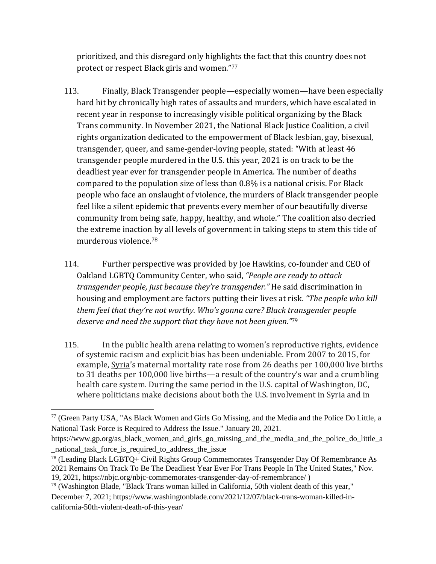prioritized, and this disregard only highlights the fact that this country does not protect or respect Black girls and women."<sup>77</sup>

- 113. Finally, Black Transgender people—especially women—have been especially hard hit by chronically high rates of assaults and murders, which have escalated in recent year in response to increasingly visible political organizing by the Black Trans community. In November 2021, the National Black Justice Coalition, a civil rights organization dedicated to the empowerment of Black lesbian, gay, bisexual, transgender, queer, and same-gender-loving people, stated: "With at least 46 transgender people murdered in the U.S. this year, 2021 is on track to be the deadliest year ever for transgender people in America. The number of deaths compared to the population size of less than 0.8% is a national crisis. For Black people who face an onslaught of violence, the murders of Black transgender people feel like a silent epidemic that prevents every member of our beautifully diverse community from being safe, happy, healthy, and whole." The coalition also decried the extreme inaction by all levels of government in taking steps to stem this tide of murderous violence.<sup>78</sup>
- 114. Further perspective was provided by Joe Hawkins, co-founder and CEO of Oakland LGBTQ Community Center, who said, *"People are ready to attack transgender people, just because they're transgender."* He said discrimination in housing and employment are factors putting their lives at risk. *"The people who kill them feel that they're not worthy. Who's gonna care? Black transgender people deserve and need the support that they have not been given."*<sup>79</sup>
- 115. In the public health arena relating to women's reproductive rights, evidence of systemic racism and explicit bias has been undeniable. From 2007 to 2015, for example, [Syria](https://urldefense.com/v3/__https:/data.worldbank.org/indicator/SH.STA.MMRT?locations=SY__;!!PIZeeW5wscynRQ!7UYV0VS4HxrbDAMUhUrWbexMjGN4l3afOKl9jrZwCgDzpAJxgfsKuch4AI8tHua8Rd7W$)'s maternal mortality rate rose from 26 deaths per 100,000 live births to 31 deaths per 100,000 live births—a result of the country's war and a crumbling health care system. During the same period in the U.S. capital of Washington, DC, where politicians make decisions about both the U.S. involvement in Syria and in

<sup>79</sup> (Washington Blade, "Black Trans woman killed in California, 50th violent death of this year," December 7, 2021; https://www.washingtonblade.com/2021/12/07/black-trans-woman-killed-incalifornia-50th-violent-death-of-this-year/

<sup>77</sup> (Green Party USA, "As Black Women and Girls Go Missing, and the Media and the Police Do Little, a National Task Force is Required to Address the Issue." January 20, 2021.

https://www.gp.org/as\_black\_women\_and\_girls\_go\_missing\_and\_the\_media\_and\_the\_police\_do\_little\_a \_national\_task\_force\_is\_required\_to\_address\_the\_issue

<sup>78</sup> (Leading Black LGBTQ+ Civil Rights Group Commemorates Transgender Day Of Remembrance As 2021 Remains On Track To Be The Deadliest Year Ever For Trans People In The United States," Nov. 19, 2021, https://nbjc.org/nbjc-commemorates-transgender-day-of-remembrance/ )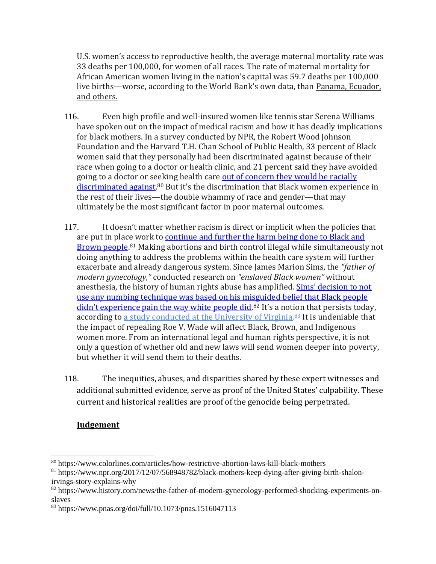U.S. women's access to reproductive health, the average maternal mortality rate was 33 deaths per 100,000, for women of all races. The rate of maternal mortality for African American women living in the nation's capital was 59.7 deaths per 100,000 live births—worse, according to the World Bank's own data, than [Panama, Ecuador,](https://data.worldbank.org/indicator/SH.STA.MMRT?locations=SY-SV-IQ&most_recent_value_desc=false)  [and others.](https://data.worldbank.org/indicator/SH.STA.MMRT?locations=SY-SV-IQ&most_recent_value_desc=false)

- 116. Even high profile and well-insured women like tennis star Serena Williams have spoken out on the impact of medical racism and how it has deadly implications for black mothers. In a survey conducted by NPR, the Robert Wood Johnson Foundation and the Harvard T.H. Chan School of Public Health, 33 percent of Black women said that they personally had been discriminated against because of their race when going to a doctor or health clinic, and 21 percent said they have avoided going to a doctor or seeking health care [out of concern they would be racially](https://www.colorlines.com/articles/how-restrictive-abortion-laws-kill-black-mothers)  [discriminated against.](https://www.colorlines.com/articles/how-restrictive-abortion-laws-kill-black-mothers)<sup>80</sup> But it's the discrimination that Black women experience in the rest of their lives—the double whammy of race and gender—that may ultimately be the most significant factor in poor maternal outcomes.
- 117. It doesn't matter whether racism is direct or implicit when the policies that are put in place work to [continue and further the harm being done to Black and](https://www.npr.org/2017/12/07/568948782/black-mothers-keep-dying-after-giving-birth-shalon-irvings-story-explains-why)  [Brown people.](https://www.npr.org/2017/12/07/568948782/black-mothers-keep-dying-after-giving-birth-shalon-irvings-story-explains-why)<sup>81</sup> Making abortions and birth control illegal while simultaneously not doing anything to address the problems within the health care system will further exacerbate and already dangerous system. Since James Marion Sims, the *"father of modern gynecology,"* conducted research on *"enslaved Black women"* without anesthesia, the history of human rights abuse has amplified. Sims' decision to not [use any numbing technique was based on his misguided belief that Black people](https://www.history.com/news/the-father-of-modern-gynecology-performed-shocking-experiments-on-slaves)  [didn't experience pain the way white people did](https://www.history.com/news/the-father-of-modern-gynecology-performed-shocking-experiments-on-slaves).<sup>82</sup> It's a notion that persists today, according to a study conducted at [the University of Virginia.](http://www.pnas.org/content/113/16/4296.full)<sup>83</sup> It is undeniable that the impact of repealing Roe V. Wade will affect Black, Brown, and Indigenous women more. From an international legal and human rights perspective, it is not only a question of whether old and new laws will send women deeper into poverty, but whether it will send them to their deaths.
- 118. The inequities, abuses, and disparities shared by these expert witnesses and additional submitted evidence, serve as proof of the United States' culpability. These current and historical realities are proof of the genocide being perpetrated.

#### **Judgement**

<sup>80</sup> https://www.colorlines.com/articles/how-restrictive-abortion-laws-kill-black-mothers

<sup>81</sup> https://www.npr.org/2017/12/07/568948782/black-mothers-keep-dying-after-giving-birth-shalonirvings-story-explains-why

<sup>82</sup> https://www.history.com/news/the-father-of-modern-gynecology-performed-shocking-experiments-onslaves

<sup>83</sup> https://www.pnas.org/doi/full/10.1073/pnas.1516047113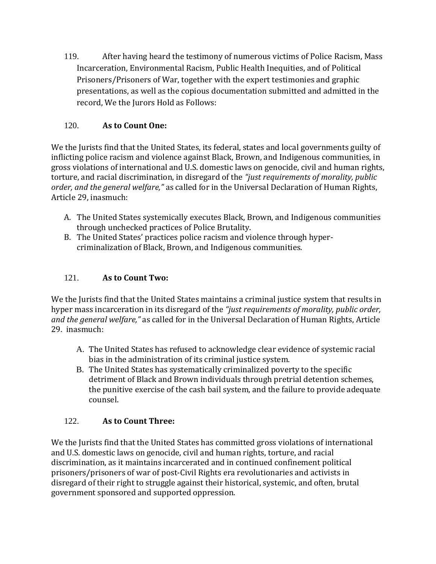119. After having heard the testimony of numerous victims of Police Racism, Mass Incarceration, Environmental Racism, Public Health Inequities, and of Political Prisoners/Prisoners of War, together with the expert testimonies and graphic presentations, as well as the copious documentation submitted and admitted in the record, We the Jurors Hold as Follows:

#### 120. **As to Count One:**

We the Jurists find that the United States, its federal, states and local governments guilty of inflicting police racism and violence against Black, Brown, and Indigenous communities, in gross violations of international and U.S. domestic laws on genocide, civil and human rights, torture, and racial discrimination, in disregard of the *"just requirements of morality, public order, and the general welfare,"* as called for in the Universal Declaration of Human Rights, Article 29, inasmuch:

- A. The United States systemically executes Black, Brown, and Indigenous communities through unchecked practices of Police Brutality.
- B. The United States' practices police racism and violence through hypercriminalization of Black, Brown, and Indigenous communities.

#### 121. **As to Count Two:**

We the Jurists find that the United States maintains a criminal justice system that results in hyper mass incarceration in its disregard of the *"just requirements of morality, public order, and the general welfare,"* as called for in the Universal Declaration of Human Rights, Article 29. inasmuch:

- A. The United States has refused to acknowledge clear evidence of systemic racial bias in the administration of its criminal justice system.
- B. The United States has systematically criminalized poverty to the specific detriment of Black and Brown individuals through pretrial detention schemes, the punitive exercise of the cash bail system, and the failure to provide adequate counsel.

#### 122. **As to Count Three:**

We the Jurists find that the United States has committed gross violations of international and U.S. domestic laws on genocide, civil and human rights, torture, and racial discrimination, as it maintains incarcerated and in continued confinement political prisoners/prisoners of war of post-Civil Rights era revolutionaries and activists in disregard of their right to struggle against their historical, systemic, and often, brutal government sponsored and supported oppression.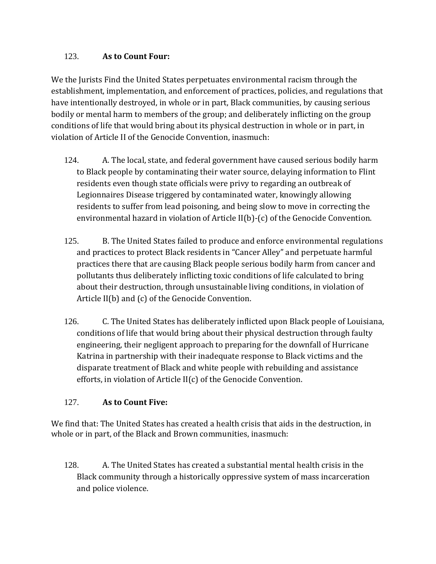#### 123. **As to Count Four:**

We the Jurists Find the United States perpetuates environmental racism through the establishment, implementation, and enforcement of practices, policies, and regulations that have intentionally destroyed, in whole or in part, Black communities, by causing serious bodily or mental harm to members of the group; and deliberately inflicting on the group conditions of life that would bring about its physical destruction in whole or in part, in violation of Article II of the Genocide Convention, inasmuch:

- 124. A. The local, state, and federal government have caused serious bodily harm to Black people by contaminating their water source, delaying information to Flint residents even though state officials were privy to regarding an outbreak of Legionnaires Disease triggered by contaminated water, knowingly allowing residents to suffer from lead poisoning, and being slow to move in correcting the environmental hazard in violation of Article II(b)-(c) of the Genocide Convention.
- 125. B. The United States failed to produce and enforce environmental regulations and practices to protect Black residents in "Cancer Alley" and perpetuate harmful practices there that are causing Black people serious bodily harm from cancer and pollutants thus deliberately inflicting toxic conditions of life calculated to bring about their destruction, through unsustainable living conditions, in violation of Article II(b) and (c) of the Genocide Convention.
- 126. C. The United States has deliberately inflicted upon Black people of Louisiana, conditions of life that would bring about their physical destruction through faulty engineering, their negligent approach to preparing for the downfall of Hurricane Katrina in partnership with their inadequate response to Black victims and the disparate treatment of Black and white people with rebuilding and assistance efforts, in violation of Article II(c) of the Genocide Convention.

#### 127. **As to Count Five:**

We find that: The United States has created a health crisis that aids in the destruction, in whole or in part, of the Black and Brown communities, inasmuch:

128. A. The United States has created a substantial mental health crisis in the Black community through a historically oppressive system of mass incarceration and police violence.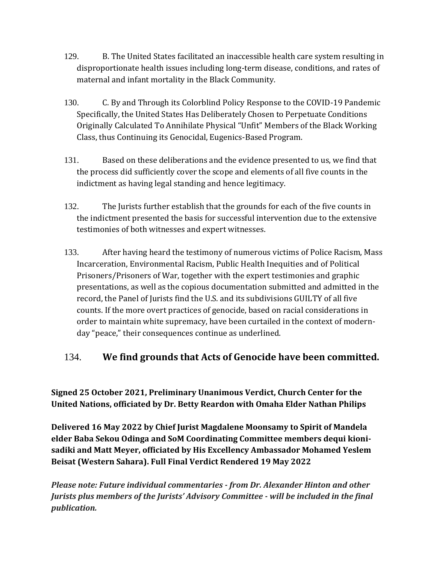- 129. B. The United States facilitated an inaccessible health care system resulting in disproportionate health issues including long-term disease, conditions, and rates of maternal and infant mortality in the Black Community.
- 130. C. By and Through its Colorblind Policy Response to the COVID-19 Pandemic Specifically, the United States Has Deliberately Chosen to Perpetuate Conditions Originally Calculated To Annihilate Physical "Unfit" Members of the Black Working Class, thus Continuing its Genocidal, Eugenics-Based Program.
- 131. Based on these deliberations and the evidence presented to us, we find that the process did sufficiently cover the scope and elements of all five counts in the indictment as having legal standing and hence legitimacy.
- 132. The Jurists further establish that the grounds for each of the five counts in the indictment presented the basis for successful intervention due to the extensive testimonies of both witnesses and expert witnesses.
- 133. After having heard the testimony of numerous victims of Police Racism, Mass Incarceration, Environmental Racism, Public Health Inequities and of Political Prisoners/Prisoners of War, together with the expert testimonies and graphic presentations, as well as the copious documentation submitted and admitted in the record, the Panel of Jurists find the U.S. and its subdivisions GUILTY of all five counts. If the more overt practices of genocide, based on racial considerations in order to maintain white supremacy, have been curtailed in the context of modernday "peace," their consequences continue as underlined.

#### 134. **We find grounds that Acts of Genocide have been committed.**

**Signed 25 October 2021, Preliminary Unanimous Verdict, Church Center for the United Nations, officiated by Dr. Betty Reardon with Omaha Elder Nathan Philips**

**Delivered 16 May 2022 by Chief Jurist Magdalene Moonsamy to Spirit of Mandela elder Baba Sekou Odinga and SoM Coordinating Committee members dequi kionisadiki and Matt Meyer, officiated by His Excellency Ambassador Mohamed Yeslem Beisat (Western Sahara). Full Final Verdict Rendered 19 May 2022**

*Please note: Future individual commentaries - from Dr. Alexander Hinton and other Jurists plus members of the Jurists' Advisory Committee - will be included in the final publication.*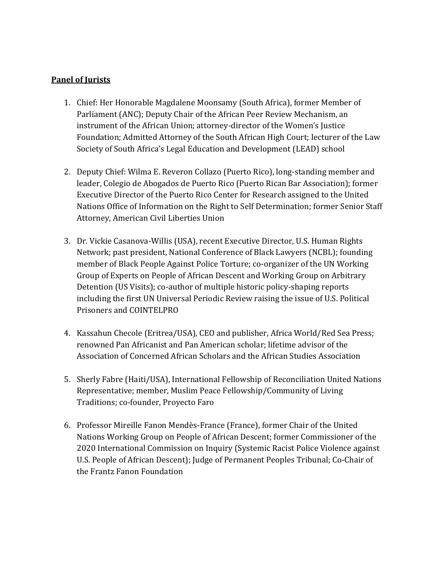#### **Panel of Jurists**

- 1. Chief: Her Honorable Magdalene Moonsamy (South Africa), former Member of Parliament (ANC); Deputy Chair of the African Peer Review Mechanism, an instrument of the African Union; attorney-director of the Women's Justice Foundation; Admitted Attorney of the South African High Court; lecturer of the Law Society of South Africa's Legal Education and Development (LEAD) school
- 2. Deputy Chief: Wilma E. Reveron Collazo (Puerto Rico), long-standing member and leader, Colegio de Abogados de Puerto Rico (Puerto Rican Bar Association); former Executive Director of the Puerto Rico Center for Research assigned to the United Nations Office of Information on the Right to Self Determination; former Senior Staff Attorney, American Civil Liberties Union
- 3. Dr. Vickie Casanova-Willis (USA), recent Executive Director, U.S. Human Rights Network; past president, National Conference of Black Lawyers (NCBL); founding member of Black People Against Police Torture; co-organizer of the UN Working Group of Experts on People of African Descent and Working Group on Arbitrary Detention (US Visits); co-author of multiple historic policy-shaping reports including the first UN Universal Periodic Review raising the issue of U.S. Political Prisoners and COINTELPRO
- 4. Kassahun Checole (Eritrea/USA), CEO and publisher, Africa World/Red Sea Press; renowned Pan Africanist and Pan American scholar; lifetime advisor of the Association of Concerned African Scholars and the African Studies Association
- 5. Sherly Fabre (Haiti/USA), International Fellowship of Reconciliation United Nations Representative; member, Muslim Peace Fellowship/Community of Living Traditions; co-founder, Proyecto Faro
- 6. Professor Mireille Fanon Mendès-France (France), former Chair of the United Nations Working Group on People of African Descent; former Commissioner of the 2020 International Commission on Inquiry (Systemic Racist Police Violence against U.S. People of African Descent); Judge of Permanent Peoples Tribunal; Co-Chair of the Frantz Fanon Foundation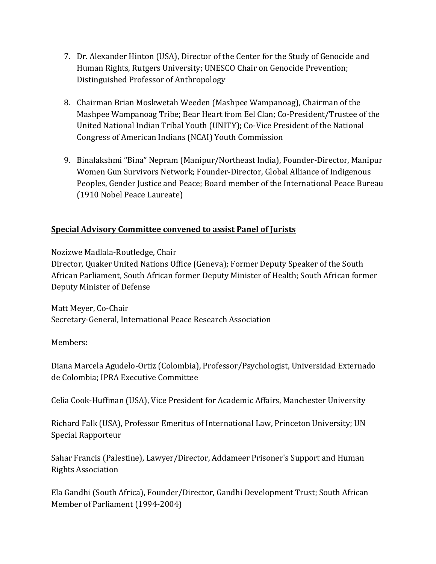- 7. Dr. Alexander Hinton (USA), Director of the Center for the Study of Genocide and Human Rights, Rutgers University; UNESCO Chair on Genocide Prevention; Distinguished Professor of Anthropology
- 8. Chairman Brian Moskwetah Weeden (Mashpee Wampanoag), Chairman of the Mashpee Wampanoag Tribe; Bear Heart from Eel Clan; Co-President/Trustee of the United National Indian Tribal Youth (UNITY); Co-Vice President of the National Congress of American Indians (NCAI) Youth Commission
- 9. Binalakshmi "Bina" Nepram (Manipur/Northeast India), Founder-Director, Manipur Women Gun Survivors Network; Founder-Director, Global Alliance of Indigenous Peoples, Gender Justice and Peace; Board member of the International Peace Bureau (1910 Nobel Peace Laureate)

#### **Special Advisory Committee convened to assist Panel of Jurists**

Nozizwe Madlala-Routledge, Chair

Director, Quaker United Nations Office (Geneva); Former Deputy Speaker of the South African Parliament, South African former Deputy Minister of Health; South African former Deputy Minister of Defense

Matt Meyer, Co-Chair Secretary-General, International Peace Research Association

Members:

Diana Marcela Agudelo-Ortiz (Colombia), Professor/Psychologist, Universidad Externado de Colombia; IPRA Executive Committee

Celia Cook-Huffman (USA), Vice President for Academic Affairs, Manchester University

Richard Falk (USA), Professor Emeritus of International Law, Princeton University; UN Special Rapporteur

Sahar Francis (Palestine), Lawyer/Director, Addameer Prisoner's Support and Human Rights Association

Ela Gandhi (South Africa), Founder/Director, Gandhi Development Trust; South African Member of Parliament (1994-2004)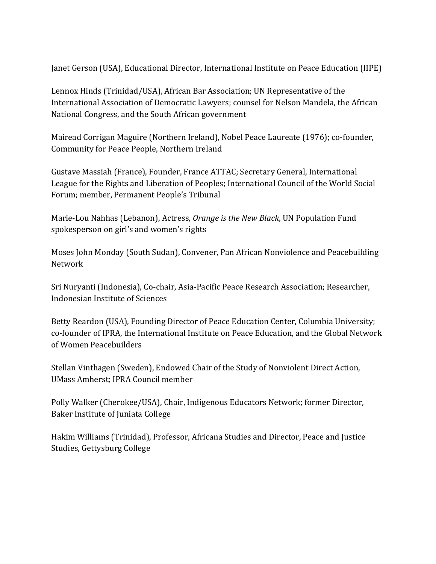Janet Gerson (USA), Educational Director, International Institute on Peace Education (IIPE)

Lennox Hinds (Trinidad/USA), African Bar Association; UN Representative of the International Association of Democratic Lawyers; counsel for Nelson Mandela, the African National Congress, and the South African government

Mairead Corrigan Maguire (Northern Ireland), Nobel Peace Laureate (1976); co-founder, Community for Peace People, Northern Ireland

Gustave Massiah (France), Founder, France ATTAC; Secretary General, International League for the Rights and Liberation of Peoples; International Council of the World Social Forum; member, Permanent People's Tribunal

Marie-Lou Nahhas (Lebanon), Actress, *Orange is the New Black*, UN Population Fund spokesperson on girl's and women's rights

Moses John Monday (South Sudan), Convener, Pan African Nonviolence and Peacebuilding Network

Sri Nuryanti (Indonesia), Co-chair, Asia-Pacific Peace Research Association; Researcher, Indonesian Institute of Sciences

Betty Reardon (USA), Founding Director of Peace Education Center, Columbia University; co-founder of IPRA, the International Institute on Peace Education, and the Global Network of Women Peacebuilders

Stellan Vinthagen (Sweden), Endowed Chair of the Study of Nonviolent Direct Action, UMass Amherst; IPRA Council member

Polly Walker (Cherokee/USA), Chair, Indigenous Educators Network; former Director, Baker Institute of Juniata College

Hakim Williams (Trinidad), Professor, Africana Studies and Director, Peace and Justice Studies, Gettysburg College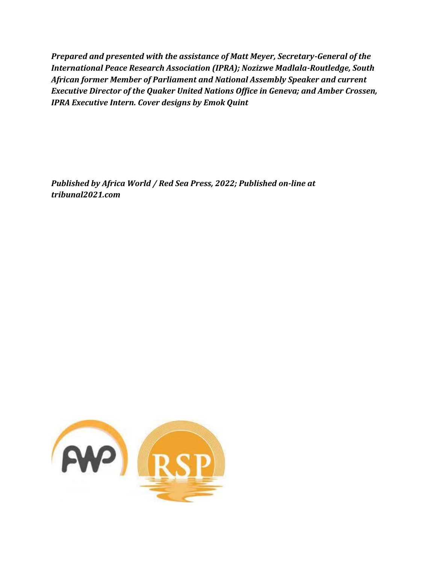*Prepared and presented with the assistance of Matt Meyer, Secretary-General of the International Peace Research Association (IPRA); Nozizwe Madlala-Routledge, South African former Member of Parliament and National Assembly Speaker and current Executive Director of the Quaker United Nations Office in Geneva; and Amber Crossen, IPRA Executive Intern. Cover designs by Emok Quint*

*Published by Africa World / Red Sea Press, 2022; Published on-line at tribunal2021.com*

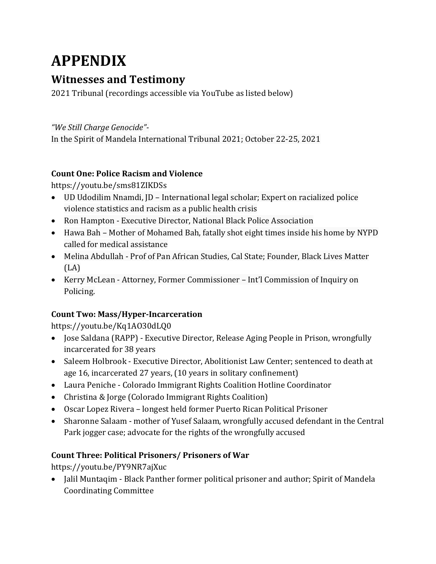### **APPENDIX**

#### **Witnesses and Testimony**

2021 Tribunal (recordings accessible via YouTube as listed below)

*"We Still Charge Genocide"-*

In the Spirit of Mandela International Tribunal 2021; October 22-25, 2021

#### **Count One: Police Racism and Violence**

https://youtu.be/sms81ZIKDSs

- UD Udodilim Nnamdi, JD International legal scholar; Expert on racialized police violence statistics and racism as a public health crisis
- Ron Hampton Executive Director, National Black Police Association
- Hawa Bah Mother of Mohamed Bah, fatally shot eight times inside his home by NYPD called for medical assistance
- Melina Abdullah Prof of Pan African Studies, Cal State; Founder, Black Lives Matter (LA)
- Kerry McLean Attorney, Former Commissioner Int'l Commission of Inquiry on Policing.

#### **Count Two: Mass/Hyper-Incarceration**

https://youtu.be/Kq1AO30dLQ0

- Jose Saldana (RAPP) Executive Director, Release Aging People in Prison, wrongfully incarcerated for 38 years
- Saleem Holbrook Executive Director, Abolitionist Law Center; sentenced to death at age 16, incarcerated 27 years, (10 years in solitary confinement)
- Laura Peniche Colorado Immigrant Rights Coalition Hotline Coordinator
- Christina & Jorge (Colorado Immigrant Rights Coalition)
- Oscar Lopez Rivera longest held former Puerto Rican Political Prisoner
- Sharonne Salaam mother of Yusef Salaam, wrongfully accused defendant in the Central Park jogger case; advocate for the rights of the wrongfully accused

#### **Count Three: Political Prisoners/ Prisoners of War**

https://youtu.be/PY9NR7ajXuc

• Jalil Muntaqim - Black Panther former political prisoner and author; Spirit of Mandela Coordinating Committee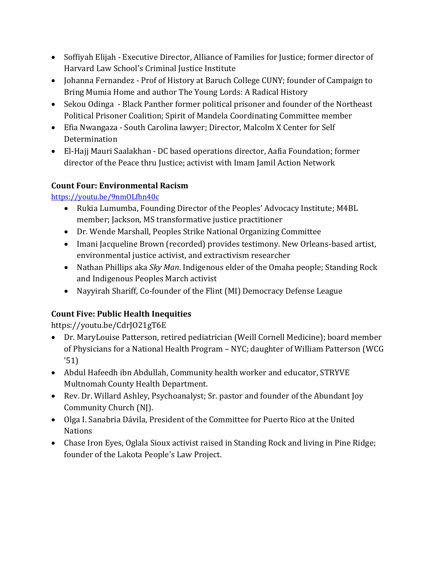- Soffiyah Elijah Executive Director, Alliance of Families for Justice; former director of Harvard Law School's Criminal Justice Institute
- Johanna Fernandez Prof of History at Baruch College CUNY; founder of Campaign to Bring Mumia Home and author The Young Lords: A Radical History
- Sekou Odinga Black Panther former political prisoner and founder of the Northeast Political Prisoner Coalition; Spirit of Mandela Coordinating Committee member
- Efia Nwangaza South Carolina lawyer; Director, Malcolm X Center for Self Determination
- El-Hajj Mauri Saalakhan DC based operations director, Aafia Foundation; former director of the Peace thru Justice; activist with Imam Jamil Action Network

#### **Count Four: Environmental Racism**

<https://youtu.be/9nmOLfhn40c>

- Rukia Lumumba, Founding Director of the Peoples' Advocacy Institute; M4BL member; Jackson, MS transformative justice practitioner
- Dr. Wende Marshall, Peoples Strike National Organizing Committee
- Imani Jacqueline Brown (recorded) provides testimony. New Orleans-based artist, environmental justice activist, and extractivism researcher
- Nathan Phillips aka *Sky Man*. Indigenous elder of the Omaha people; Standing Rock and Indigenous Peoples March activist
- Nayyirah Shariff, Co-founder of the Flint (MI) Democracy Defense League

#### **Count Five: Public Health Inequities**

https://youtu.be/CdrJO21gT6E

- Dr. MaryLouise Patterson, retired pediatrician (Weill Cornell Medicine); board member of Physicians for a National Health Program – NYC; daughter of William Patterson (WCG '51)
- Abdul Hafeedh ibn Abdullah, Community health worker and educator, STRYVE Multnomah County Health Department.
- Rev. Dr. Willard Ashley, Psychoanalyst; Sr. pastor and founder of the Abundant Joy Community Church (NJ).
- Olga I. Sanabria Dávila, President of the Committee for Puerto Rico at the United Nations
- Chase Iron Eyes, Oglala Sioux activist raised in Standing Rock and living in Pine Ridge; founder of the Lakota People's Law Project.